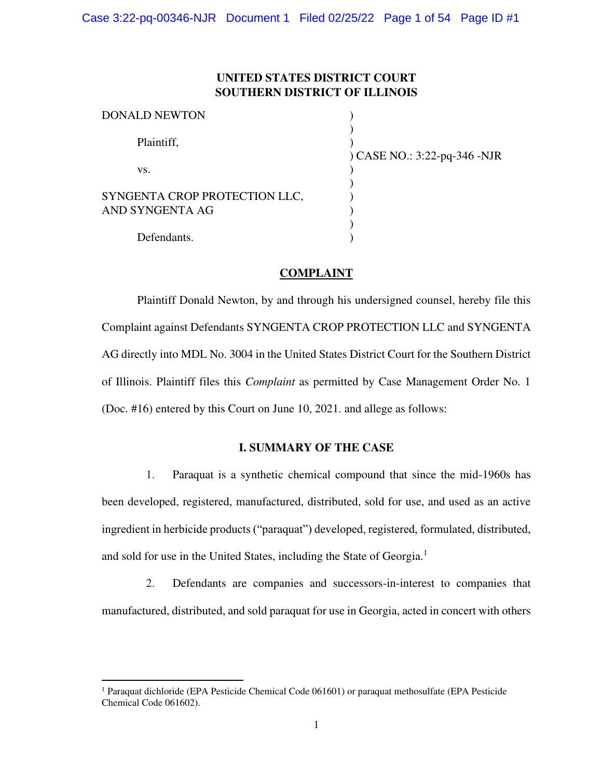# **UNITED STATES DISTRICT COURT SOUTHERN DISTRICT OF ILLINOIS**

| DONALD NEWTON                                    |                              |
|--------------------------------------------------|------------------------------|
| Plaintiff,                                       |                              |
| VS.                                              | ) CASE NO.: 3:22-pq-346 -NJR |
| SYNGENTA CROP PROTECTION LLC,<br>AND SYNGENTA AG |                              |
| Defendants.                                      |                              |

## **COMPLAINT**

Plaintiff Donald Newton, by and through his undersigned counsel, hereby file this Complaint against Defendants SYNGENTA CROP PROTECTION LLC and SYNGENTA AG directly into MDL No. 3004 in the United States District Court for the Southern District of Illinois. Plaintiff files this *Complaint* as permitted by Case Management Order No. 1 (Doc. #16) entered by this Court on June 10, 2021. and allege as follows:

## **I. SUMMARY OF THE CASE**

1. Paraquat is a synthetic chemical compound that since the mid-1960s has been developed, registered, manufactured, distributed, sold for use, and used as an active ingredient in herbicide products ("paraquat") developed, registered, formulated, distributed, and sold for use in the United States, including the State of Georgia.<sup>1</sup>

2. Defendants are companies and successors-in-interest to companies that manufactured, distributed, and sold paraquat for use in Georgia, acted in concert with others

<sup>&</sup>lt;sup>1</sup> Paraquat dichloride (EPA Pesticide Chemical Code 061601) or paraquat methosulfate (EPA Pesticide Chemical Code 061602).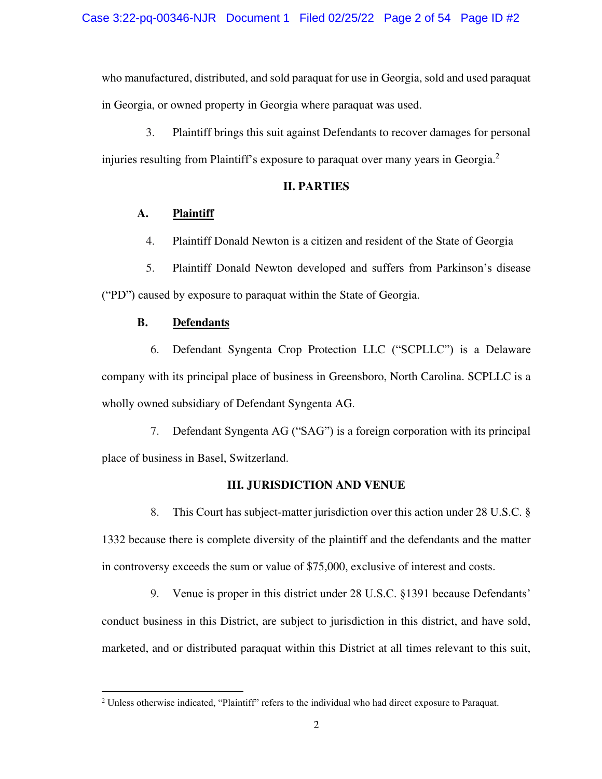who manufactured, distributed, and sold paraquat for use in Georgia, sold and used paraquat in Georgia, or owned property in Georgia where paraquat was used.

3. Plaintiff brings this suit against Defendants to recover damages for personal injuries resulting from Plaintiff's exposure to paraquat over many years in Georgia.<sup>2</sup>

## **II. PARTIES**

## **A. Plaintiff**

4. Plaintiff Donald Newton is a citizen and resident of the State of Georgia

5. Plaintiff Donald Newton developed and suffers from Parkinson's disease ("PD") caused by exposure to paraquat within the State of Georgia.

## **B. Defendants**

6. Defendant Syngenta Crop Protection LLC ("SCPLLC") is a Delaware company with its principal place of business in Greensboro, North Carolina. SCPLLC is a wholly owned subsidiary of Defendant Syngenta AG.

7. Defendant Syngenta AG ("SAG") is a foreign corporation with its principal place of business in Basel, Switzerland.

## **III. JURISDICTION AND VENUE**

8. This Court has subject-matter jurisdiction over this action under 28 U.S.C. § 1332 because there is complete diversity of the plaintiff and the defendants and the matter in controversy exceeds the sum or value of \$75,000, exclusive of interest and costs.

9. Venue is proper in this district under 28 U.S.C. §1391 because Defendants' conduct business in this District, are subject to jurisdiction in this district, and have sold, marketed, and or distributed paraquat within this District at all times relevant to this suit,

<sup>2</sup> Unless otherwise indicated, "Plaintiff" refers to the individual who had direct exposure to Paraquat.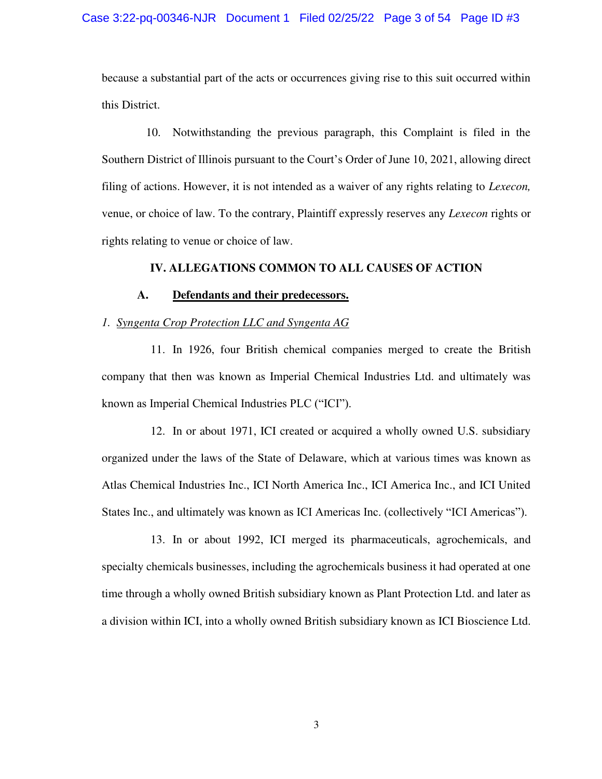because a substantial part of the acts or occurrences giving rise to this suit occurred within this District.

10. Notwithstanding the previous paragraph, this Complaint is filed in the Southern District of Illinois pursuant to the Court's Order of June 10, 2021, allowing direct filing of actions. However, it is not intended as a waiver of any rights relating to *Lexecon,*  venue, or choice of law. To the contrary, Plaintiff expressly reserves any *Lexecon* rights or rights relating to venue or choice of law.

### **IV. ALLEGATIONS COMMON TO ALL CAUSES OF ACTION**

## **A. Defendants and their predecessors.**

### *1. Syngenta Crop Protection LLC and Syngenta AG*

11. In 1926, four British chemical companies merged to create the British company that then was known as Imperial Chemical Industries Ltd. and ultimately was known as Imperial Chemical Industries PLC ("ICI").

12. In or about 1971, ICI created or acquired a wholly owned U.S. subsidiary organized under the laws of the State of Delaware, which at various times was known as Atlas Chemical Industries Inc., ICI North America Inc., ICI America Inc., and ICI United States Inc., and ultimately was known as ICI Americas Inc. (collectively "ICI Americas").

13. In or about 1992, ICI merged its pharmaceuticals, agrochemicals, and specialty chemicals businesses, including the agrochemicals business it had operated at one time through a wholly owned British subsidiary known as Plant Protection Ltd. and later as a division within ICI, into a wholly owned British subsidiary known as ICI Bioscience Ltd.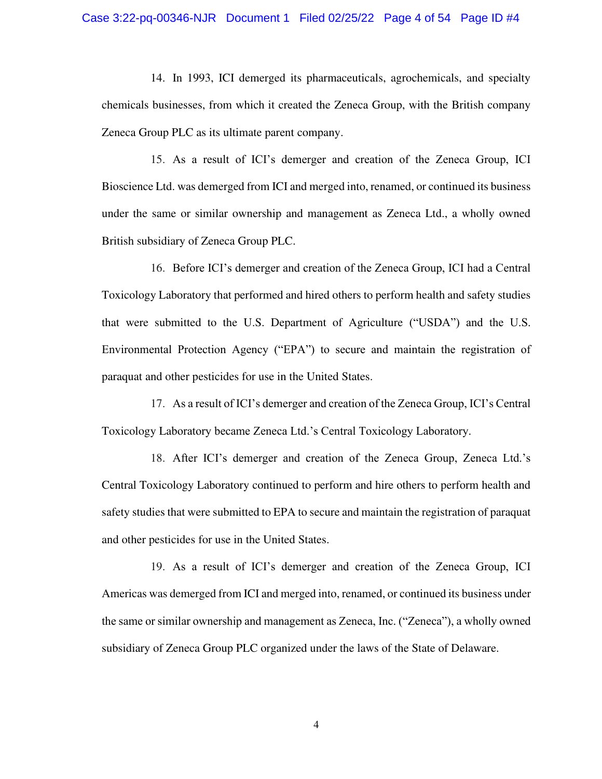14. In 1993, ICI demerged its pharmaceuticals, agrochemicals, and specialty chemicals businesses, from which it created the Zeneca Group, with the British company Zeneca Group PLC as its ultimate parent company.

15. As a result of ICI's demerger and creation of the Zeneca Group, ICI Bioscience Ltd. was demerged from ICI and merged into, renamed, or continued its business under the same or similar ownership and management as Zeneca Ltd., a wholly owned British subsidiary of Zeneca Group PLC.

16. Before ICI's demerger and creation of the Zeneca Group, ICI had a Central Toxicology Laboratory that performed and hired others to perform health and safety studies that were submitted to the U.S. Department of Agriculture ("USDA") and the U.S. Environmental Protection Agency ("EPA") to secure and maintain the registration of paraquat and other pesticides for use in the United States.

17. As a result of ICI's demerger and creation of the Zeneca Group, ICI's Central Toxicology Laboratory became Zeneca Ltd.'s Central Toxicology Laboratory.

18. After ICI's demerger and creation of the Zeneca Group, Zeneca Ltd.'s Central Toxicology Laboratory continued to perform and hire others to perform health and safety studies that were submitted to EPA to secure and maintain the registration of paraquat and other pesticides for use in the United States.

19. As a result of ICI's demerger and creation of the Zeneca Group, ICI Americas was demerged from ICI and merged into, renamed, or continued its business under the same or similar ownership and management as Zeneca, Inc. ("Zeneca"), a wholly owned subsidiary of Zeneca Group PLC organized under the laws of the State of Delaware.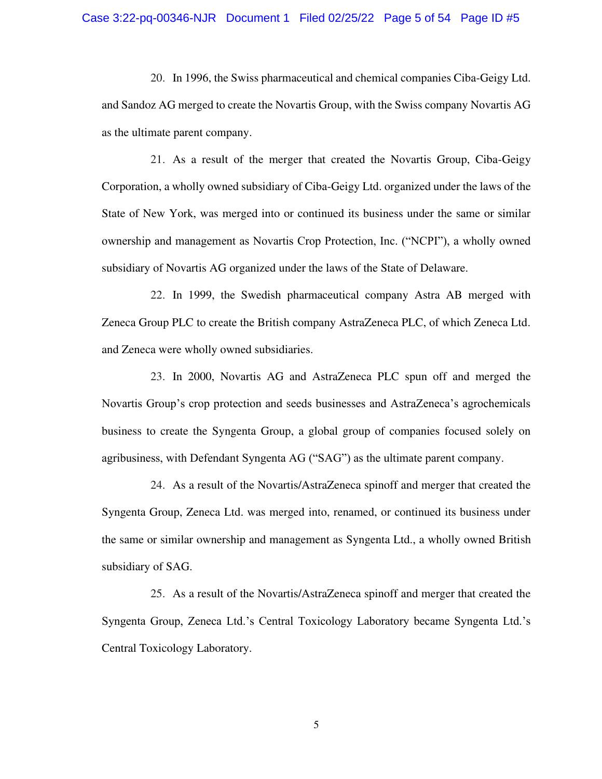20. In 1996, the Swiss pharmaceutical and chemical companies Ciba-Geigy Ltd. and Sandoz AG merged to create the Novartis Group, with the Swiss company Novartis AG as the ultimate parent company.

21. As a result of the merger that created the Novartis Group, Ciba-Geigy Corporation, a wholly owned subsidiary of Ciba-Geigy Ltd. organized under the laws of the State of New York, was merged into or continued its business under the same or similar ownership and management as Novartis Crop Protection, Inc. ("NCPI"), a wholly owned subsidiary of Novartis AG organized under the laws of the State of Delaware.

22. In 1999, the Swedish pharmaceutical company Astra AB merged with Zeneca Group PLC to create the British company AstraZeneca PLC, of which Zeneca Ltd. and Zeneca were wholly owned subsidiaries.

23. In 2000, Novartis AG and AstraZeneca PLC spun off and merged the Novartis Group's crop protection and seeds businesses and AstraZeneca's agrochemicals business to create the Syngenta Group, a global group of companies focused solely on agribusiness, with Defendant Syngenta AG ("SAG") as the ultimate parent company.

24. As a result of the Novartis/AstraZeneca spinoff and merger that created the Syngenta Group, Zeneca Ltd. was merged into, renamed, or continued its business under the same or similar ownership and management as Syngenta Ltd., a wholly owned British subsidiary of SAG.

25. As a result of the Novartis/AstraZeneca spinoff and merger that created the Syngenta Group, Zeneca Ltd.'s Central Toxicology Laboratory became Syngenta Ltd.'s Central Toxicology Laboratory.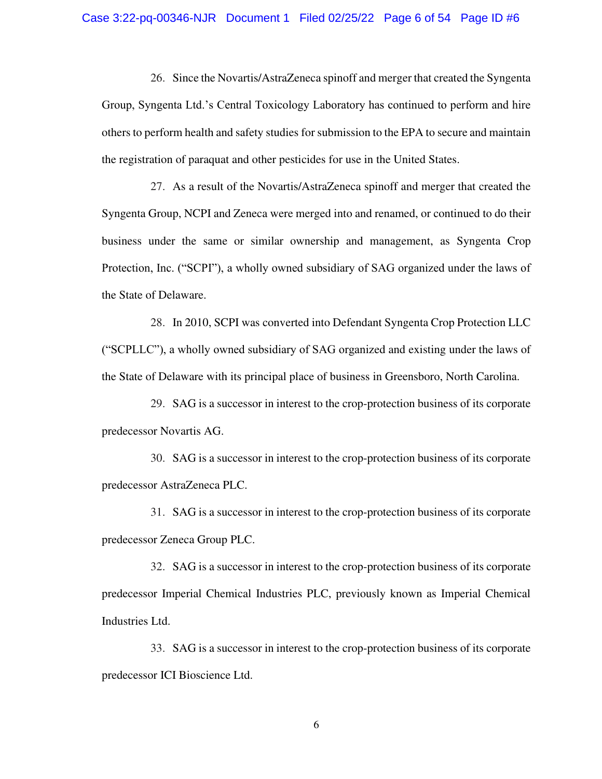26. Since the Novartis/AstraZeneca spinoff and merger that created the Syngenta Group, Syngenta Ltd.'s Central Toxicology Laboratory has continued to perform and hire others to perform health and safety studies for submission to the EPA to secure and maintain the registration of paraquat and other pesticides for use in the United States.

27. As a result of the Novartis/AstraZeneca spinoff and merger that created the Syngenta Group, NCPI and Zeneca were merged into and renamed, or continued to do their business under the same or similar ownership and management, as Syngenta Crop Protection, Inc. ("SCPI"), a wholly owned subsidiary of SAG organized under the laws of the State of Delaware.

28. In 2010, SCPI was converted into Defendant Syngenta Crop Protection LLC ("SCPLLC"), a wholly owned subsidiary of SAG organized and existing under the laws of the State of Delaware with its principal place of business in Greensboro, North Carolina.

29. SAG is a successor in interest to the crop-protection business of its corporate predecessor Novartis AG.

30. SAG is a successor in interest to the crop-protection business of its corporate predecessor AstraZeneca PLC.

31. SAG is a successor in interest to the crop-protection business of its corporate predecessor Zeneca Group PLC.

32. SAG is a successor in interest to the crop-protection business of its corporate predecessor Imperial Chemical Industries PLC, previously known as Imperial Chemical Industries Ltd.

33. SAG is a successor in interest to the crop-protection business of its corporate predecessor ICI Bioscience Ltd.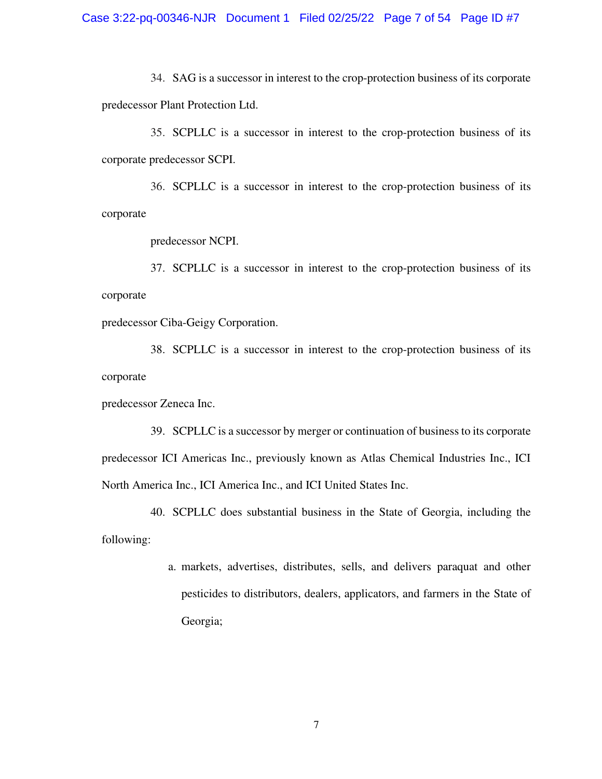34. SAG is a successor in interest to the crop-protection business of its corporate predecessor Plant Protection Ltd.

35. SCPLLC is a successor in interest to the crop-protection business of its corporate predecessor SCPI.

36. SCPLLC is a successor in interest to the crop-protection business of its corporate

predecessor NCPI.

37. SCPLLC is a successor in interest to the crop-protection business of its corporate

predecessor Ciba-Geigy Corporation.

38. SCPLLC is a successor in interest to the crop-protection business of its corporate

predecessor Zeneca Inc.

39. SCPLLC is a successor by merger or continuation of business to its corporate predecessor ICI Americas Inc., previously known as Atlas Chemical Industries Inc., ICI North America Inc., ICI America Inc., and ICI United States Inc.

40. SCPLLC does substantial business in the State of Georgia, including the following:

> a. markets, advertises, distributes, sells, and delivers paraquat and other pesticides to distributors, dealers, applicators, and farmers in the State of Georgia;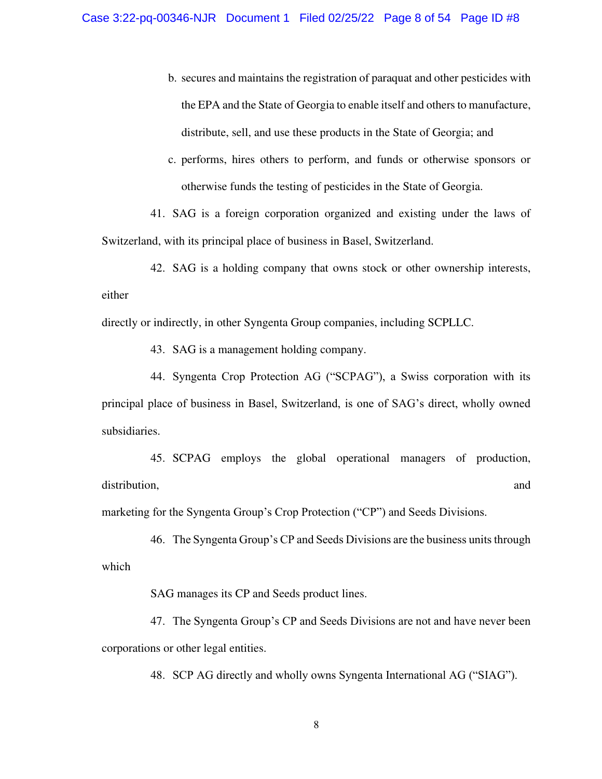- b. secures and maintains the registration of paraquat and other pesticides with the EPA and the State of Georgia to enable itself and others to manufacture, distribute, sell, and use these products in the State of Georgia; and
- c. performs, hires others to perform, and funds or otherwise sponsors or otherwise funds the testing of pesticides in the State of Georgia.

41. SAG is a foreign corporation organized and existing under the laws of Switzerland, with its principal place of business in Basel, Switzerland.

42. SAG is a holding company that owns stock or other ownership interests, either

directly or indirectly, in other Syngenta Group companies, including SCPLLC.

43. SAG is a management holding company.

44. Syngenta Crop Protection AG ("SCPAG"), a Swiss corporation with its principal place of business in Basel, Switzerland, is one of SAG's direct, wholly owned subsidiaries.

45. SCPAG employs the global operational managers of production, distribution, and  $\alpha$  and  $\alpha$  and  $\alpha$  and  $\alpha$  and  $\alpha$  and  $\alpha$  and  $\alpha$  and  $\alpha$  and  $\alpha$  and  $\alpha$  and  $\alpha$  and  $\alpha$  and  $\alpha$  and  $\alpha$  and  $\alpha$  and  $\alpha$  and  $\alpha$  and  $\alpha$  and  $\alpha$  and  $\alpha$  and  $\alpha$  and  $\alpha$  and  $\alpha$  a

marketing for the Syngenta Group's Crop Protection ("CP") and Seeds Divisions.

46. The Syngenta Group's CP and Seeds Divisions are the business units through which

SAG manages its CP and Seeds product lines.

47. The Syngenta Group's CP and Seeds Divisions are not and have never been corporations or other legal entities.

48. SCP AG directly and wholly owns Syngenta International AG ("SIAG").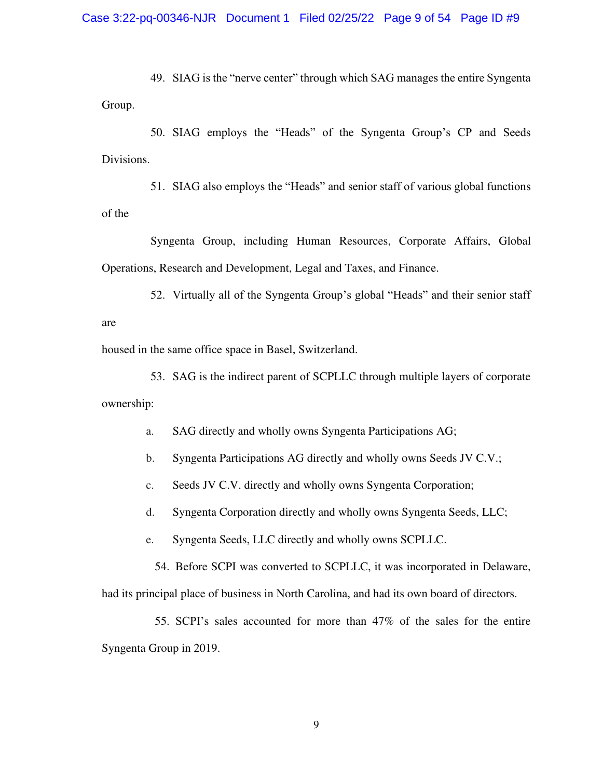49. SIAG is the "nerve center" through which SAG manages the entire Syngenta Group.

50. SIAG employs the "Heads" of the Syngenta Group's CP and Seeds Divisions.

51. SIAG also employs the "Heads" and senior staff of various global functions of the

Syngenta Group, including Human Resources, Corporate Affairs, Global Operations, Research and Development, Legal and Taxes, and Finance.

52. Virtually all of the Syngenta Group's global "Heads" and their senior staff are

housed in the same office space in Basel, Switzerland.

53. SAG is the indirect parent of SCPLLC through multiple layers of corporate ownership:

a. SAG directly and wholly owns Syngenta Participations AG;

b. Syngenta Participations AG directly and wholly owns Seeds JV C.V.;

c. Seeds JV C.V. directly and wholly owns Syngenta Corporation;

d. Syngenta Corporation directly and wholly owns Syngenta Seeds, LLC;

e. Syngenta Seeds, LLC directly and wholly owns SCPLLC.

54. Before SCPI was converted to SCPLLC, it was incorporated in Delaware,

had its principal place of business in North Carolina, and had its own board of directors.

55. SCPI's sales accounted for more than 47% of the sales for the entire Syngenta Group in 2019.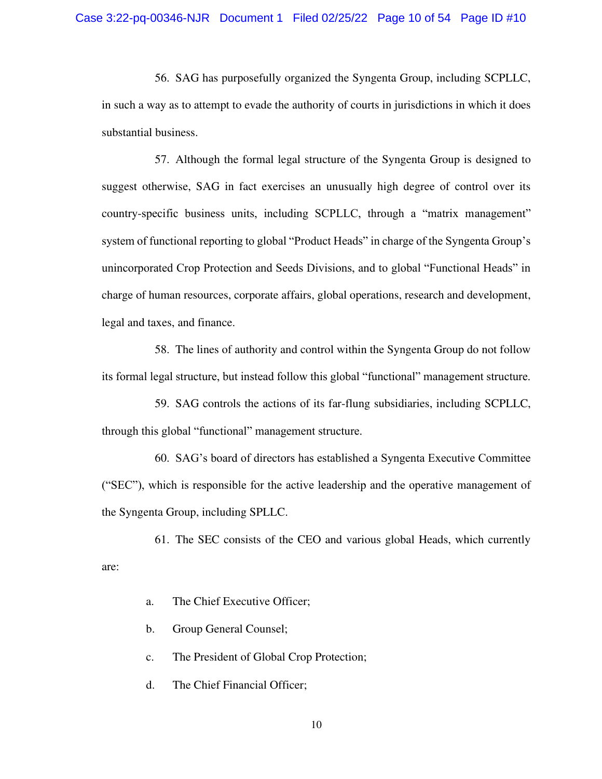56. SAG has purposefully organized the Syngenta Group, including SCPLLC, in such a way as to attempt to evade the authority of courts in jurisdictions in which it does substantial business.

57. Although the formal legal structure of the Syngenta Group is designed to suggest otherwise, SAG in fact exercises an unusually high degree of control over its country-specific business units, including SCPLLC, through a "matrix management" system of functional reporting to global "Product Heads" in charge of the Syngenta Group's unincorporated Crop Protection and Seeds Divisions, and to global "Functional Heads" in charge of human resources, corporate affairs, global operations, research and development, legal and taxes, and finance.

58. The lines of authority and control within the Syngenta Group do not follow its formal legal structure, but instead follow this global "functional" management structure.

59. SAG controls the actions of its far-flung subsidiaries, including SCPLLC, through this global "functional" management structure.

60. SAG's board of directors has established a Syngenta Executive Committee ("SEC"), which is responsible for the active leadership and the operative management of the Syngenta Group, including SPLLC.

61. The SEC consists of the CEO and various global Heads, which currently are:

- a. The Chief Executive Officer;
- b. Group General Counsel;
- c. The President of Global Crop Protection;
- d. The Chief Financial Officer;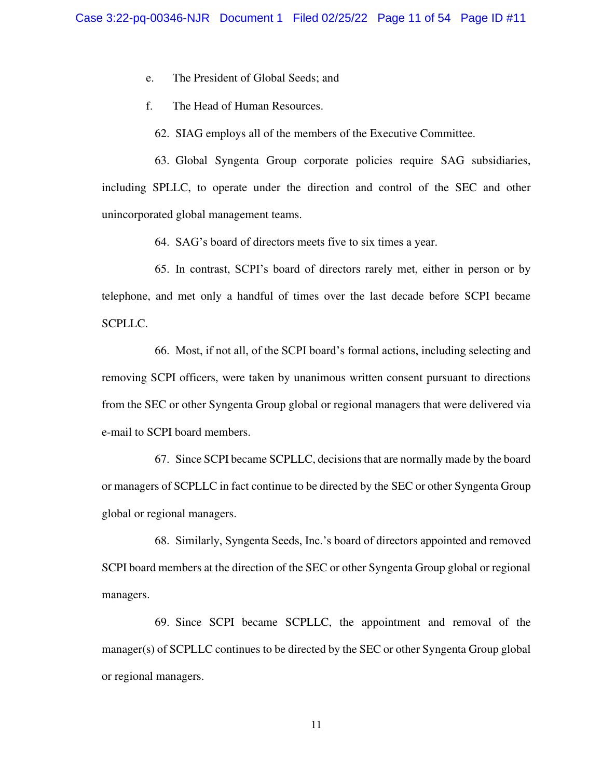e. The President of Global Seeds; and

f. The Head of Human Resources.

62. SIAG employs all of the members of the Executive Committee.

63. Global Syngenta Group corporate policies require SAG subsidiaries, including SPLLC, to operate under the direction and control of the SEC and other unincorporated global management teams.

64. SAG's board of directors meets five to six times a year.

65. In contrast, SCPI's board of directors rarely met, either in person or by telephone, and met only a handful of times over the last decade before SCPI became SCPLLC.

66. Most, if not all, of the SCPI board's formal actions, including selecting and removing SCPI officers, were taken by unanimous written consent pursuant to directions from the SEC or other Syngenta Group global or regional managers that were delivered via e-mail to SCPI board members.

67. Since SCPI became SCPLLC, decisions that are normally made by the board or managers of SCPLLC in fact continue to be directed by the SEC or other Syngenta Group global or regional managers.

68. Similarly, Syngenta Seeds, Inc.'s board of directors appointed and removed SCPI board members at the direction of the SEC or other Syngenta Group global or regional managers.

69. Since SCPI became SCPLLC, the appointment and removal of the manager(s) of SCPLLC continues to be directed by the SEC or other Syngenta Group global or regional managers.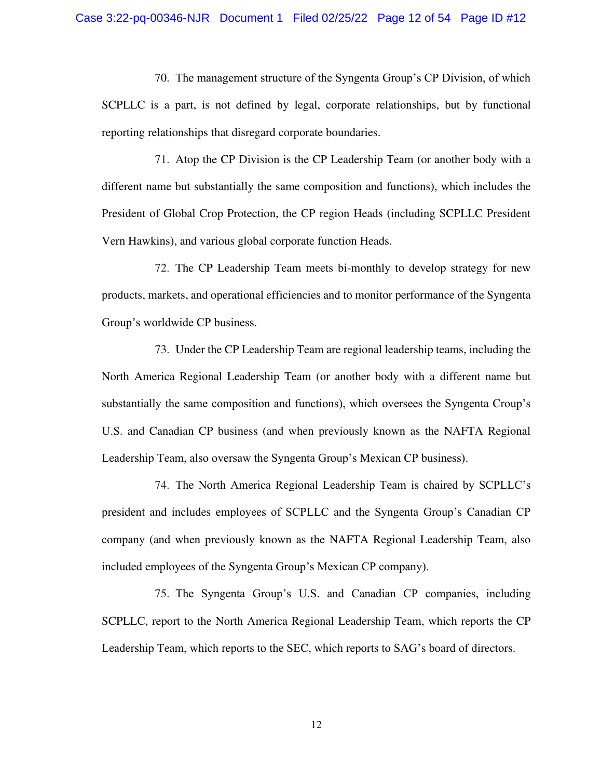70. The management structure of the Syngenta Group's CP Division, of which SCPLLC is a part, is not defined by legal, corporate relationships, but by functional reporting relationships that disregard corporate boundaries.

71. Atop the CP Division is the CP Leadership Team (or another body with a different name but substantially the same composition and functions), which includes the President of Global Crop Protection, the CP region Heads (including SCPLLC President Vern Hawkins), and various global corporate function Heads.

72. The CP Leadership Team meets bi-monthly to develop strategy for new products, markets, and operational efficiencies and to monitor performance of the Syngenta Group's worldwide CP business.

73. Under the CP Leadership Team are regional leadership teams, including the North America Regional Leadership Team (or another body with a different name but substantially the same composition and functions), which oversees the Syngenta Croup's U.S. and Canadian CP business (and when previously known as the NAFTA Regional Leadership Team, also oversaw the Syngenta Group's Mexican CP business).

74. The North America Regional Leadership Team is chaired by SCPLLC's president and includes employees of SCPLLC and the Syngenta Group's Canadian CP company (and when previously known as the NAFTA Regional Leadership Team, also included employees of the Syngenta Group's Mexican CP company).

75. The Syngenta Group's U.S. and Canadian CP companies, including SCPLLC, report to the North America Regional Leadership Team, which reports the CP Leadership Team, which reports to the SEC, which reports to SAG's board of directors.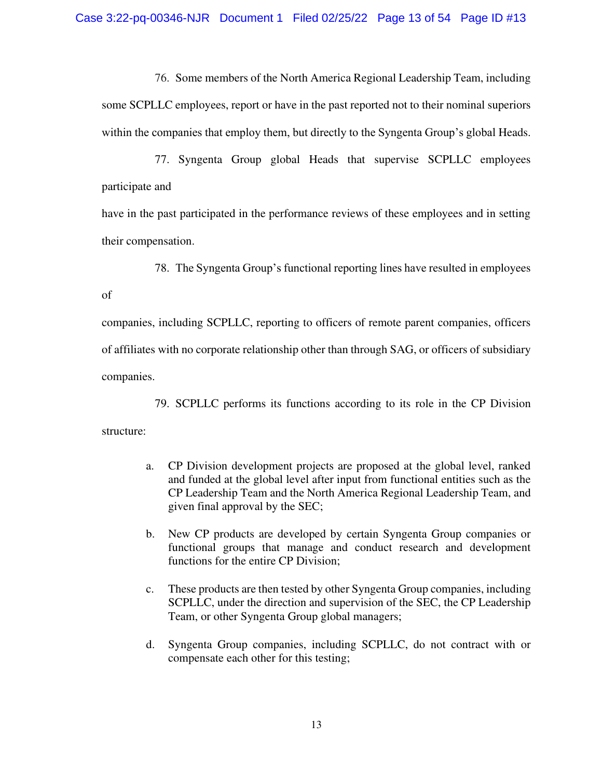76. Some members of the North America Regional Leadership Team, including some SCPLLC employees, report or have in the past reported not to their nominal superiors within the companies that employ them, but directly to the Syngenta Group's global Heads.

77. Syngenta Group global Heads that supervise SCPLLC employees participate and

have in the past participated in the performance reviews of these employees and in setting their compensation.

78. The Syngenta Group's functional reporting lines have resulted in employees

#### of

companies, including SCPLLC, reporting to officers of remote parent companies, officers of affiliates with no corporate relationship other than through SAG, or officers of subsidiary companies.

79. SCPLLC performs its functions according to its role in the CP Division structure:

- a. CP Division development projects are proposed at the global level, ranked and funded at the global level after input from functional entities such as the CP Leadership Team and the North America Regional Leadership Team, and given final approval by the SEC;
- b. New CP products are developed by certain Syngenta Group companies or functional groups that manage and conduct research and development functions for the entire CP Division;
- c. These products are then tested by other Syngenta Group companies, including SCPLLC, under the direction and supervision of the SEC, the CP Leadership Team, or other Syngenta Group global managers;
- d. Syngenta Group companies, including SCPLLC, do not contract with or compensate each other for this testing;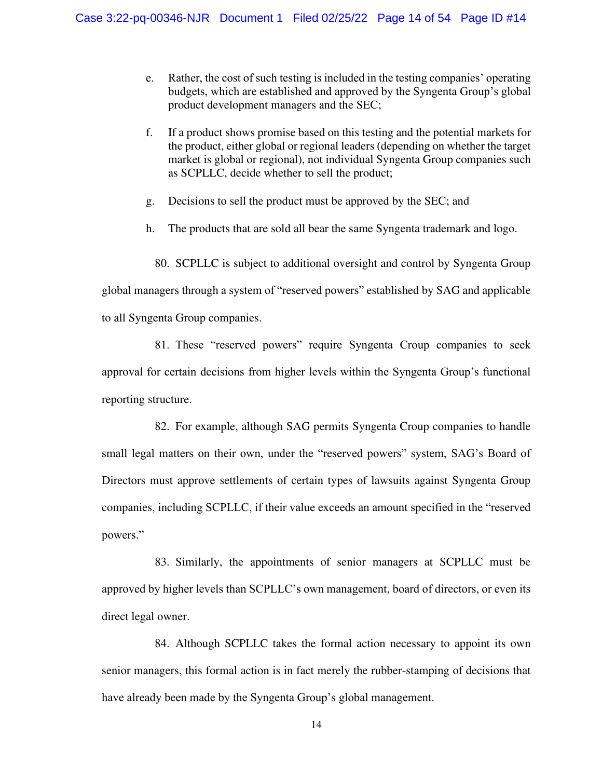- e. Rather, the cost of such testing is included in the testing companies' operating budgets, which are established and approved by the Syngenta Group's global product development managers and the SEC;
- f. If a product shows promise based on this testing and the potential markets for the product, either global or regional leaders (depending on whether the target market is global or regional), not individual Syngenta Group companies such as SCPLLC, decide whether to sell the product;
- g. Decisions to sell the product must be approved by the SEC; and
- h. The products that are sold all bear the same Syngenta trademark and logo.

80. SCPLLC is subject to additional oversight and control by Syngenta Group

global managers through a system of "reserved powers" established by SAG and applicable to all Syngenta Group companies.

81. These "reserved powers" require Syngenta Croup companies to seek approval for certain decisions from higher levels within the Syngenta Group's functional reporting structure.

82. For example, although SAG permits Syngenta Croup companies to handle small legal matters on their own, under the "reserved powers" system, SAG's Board of Directors must approve settlements of certain types of lawsuits against Syngenta Group companies, including SCPLLC, if their value exceeds an amount specified in the "reserved powers."

83. Similarly, the appointments of senior managers at SCPLLC must be approved by higher levels than SCPLLC's own management, board of directors, or even its direct legal owner.

84. Although SCPLLC takes the formal action necessary to appoint its own senior managers, this formal action is in fact merely the rubber-stamping of decisions that have already been made by the Syngenta Group's global management.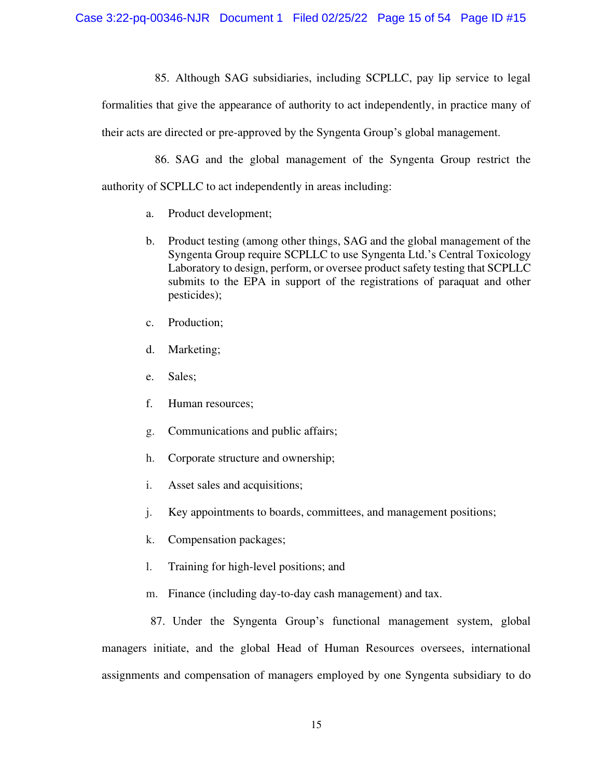85. Although SAG subsidiaries, including SCPLLC, pay lip service to legal

formalities that give the appearance of authority to act independently, in practice many of their acts are directed or pre-approved by the Syngenta Group's global management.

86. SAG and the global management of the Syngenta Group restrict the authority of SCPLLC to act independently in areas including:

- a. Product development;
- b. Product testing (among other things, SAG and the global management of the Syngenta Group require SCPLLC to use Syngenta Ltd.'s Central Toxicology Laboratory to design, perform, or oversee product safety testing that SCPLLC submits to the EPA in support of the registrations of paraquat and other pesticides);
- c. Production;
- d. Marketing;
- e. Sales;
- f. Human resources;
- g. Communications and public affairs;
- h. Corporate structure and ownership;
- i. Asset sales and acquisitions;
- j. Key appointments to boards, committees, and management positions;
- k. Compensation packages;
- l. Training for high-level positions; and
- m. Finance (including day-to-day cash management) and tax.

87. Under the Syngenta Group's functional management system, global managers initiate, and the global Head of Human Resources oversees, international assignments and compensation of managers employed by one Syngenta subsidiary to do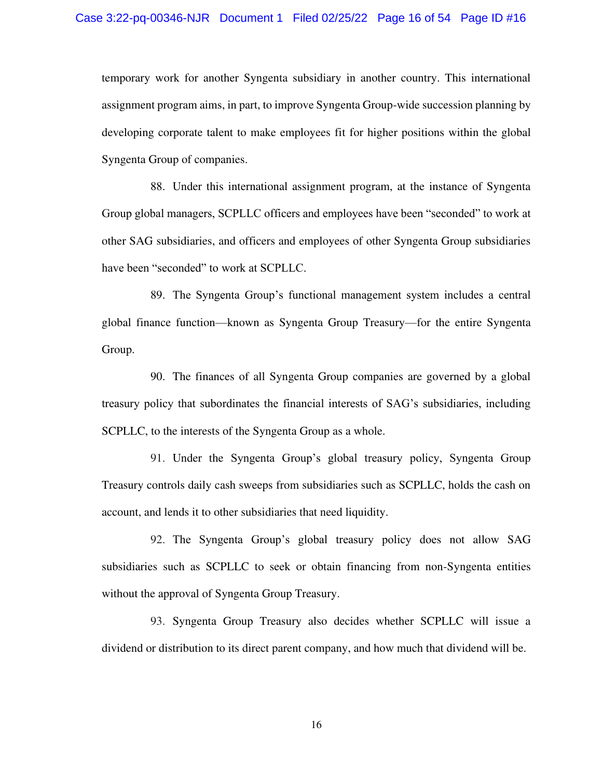temporary work for another Syngenta subsidiary in another country. This international assignment program aims, in part, to improve Syngenta Group-wide succession planning by developing corporate talent to make employees fit for higher positions within the global Syngenta Group of companies.

88. Under this international assignment program, at the instance of Syngenta Group global managers, SCPLLC officers and employees have been "seconded" to work at other SAG subsidiaries, and officers and employees of other Syngenta Group subsidiaries have been "seconded" to work at SCPLLC.

89. The Syngenta Group's functional management system includes a central global finance function—known as Syngenta Group Treasury—for the entire Syngenta Group.

90. The finances of all Syngenta Group companies are governed by a global treasury policy that subordinates the financial interests of SAG's subsidiaries, including SCPLLC, to the interests of the Syngenta Group as a whole.

91. Under the Syngenta Group's global treasury policy, Syngenta Group Treasury controls daily cash sweeps from subsidiaries such as SCPLLC, holds the cash on account, and lends it to other subsidiaries that need liquidity.

92. The Syngenta Group's global treasury policy does not allow SAG subsidiaries such as SCPLLC to seek or obtain financing from non-Syngenta entities without the approval of Syngenta Group Treasury.

93. Syngenta Group Treasury also decides whether SCPLLC will issue a dividend or distribution to its direct parent company, and how much that dividend will be.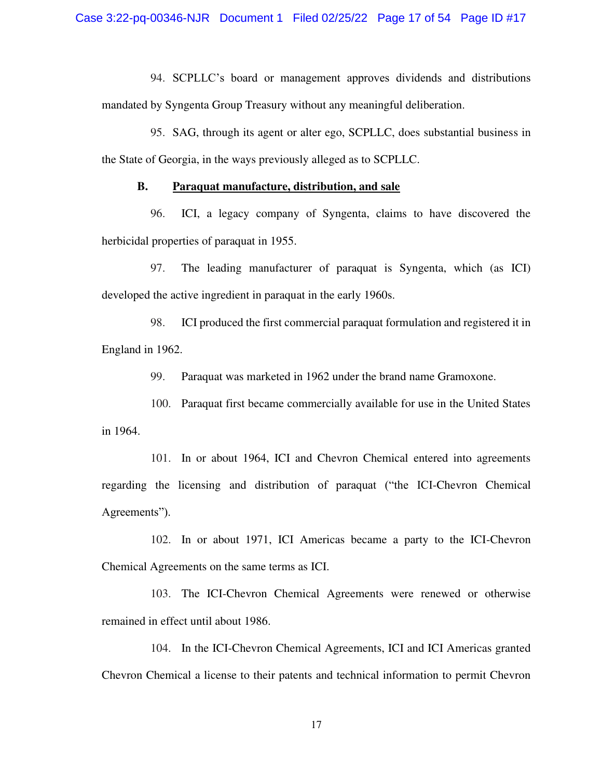94. SCPLLC's board or management approves dividends and distributions mandated by Syngenta Group Treasury without any meaningful deliberation.

95. SAG, through its agent or alter ego, SCPLLC, does substantial business in the State of Georgia, in the ways previously alleged as to SCPLLC.

### **B. Paraquat manufacture, distribution, and sale**

96. ICI, a legacy company of Syngenta, claims to have discovered the herbicidal properties of paraquat in 1955.

97. The leading manufacturer of paraquat is Syngenta, which (as ICI) developed the active ingredient in paraquat in the early 1960s.

98. ICI produced the first commercial paraquat formulation and registered it in England in 1962.

99. Paraquat was marketed in 1962 under the brand name Gramoxone.

100. Paraquat first became commercially available for use in the United States in 1964.

101. In or about 1964, ICI and Chevron Chemical entered into agreements regarding the licensing and distribution of paraquat ("the ICI-Chevron Chemical Agreements").

102. In or about 1971, ICI Americas became a party to the ICI-Chevron Chemical Agreements on the same terms as ICI.

103. The ICI-Chevron Chemical Agreements were renewed or otherwise remained in effect until about 1986.

104. In the ICI-Chevron Chemical Agreements, ICI and ICI Americas granted Chevron Chemical a license to their patents and technical information to permit Chevron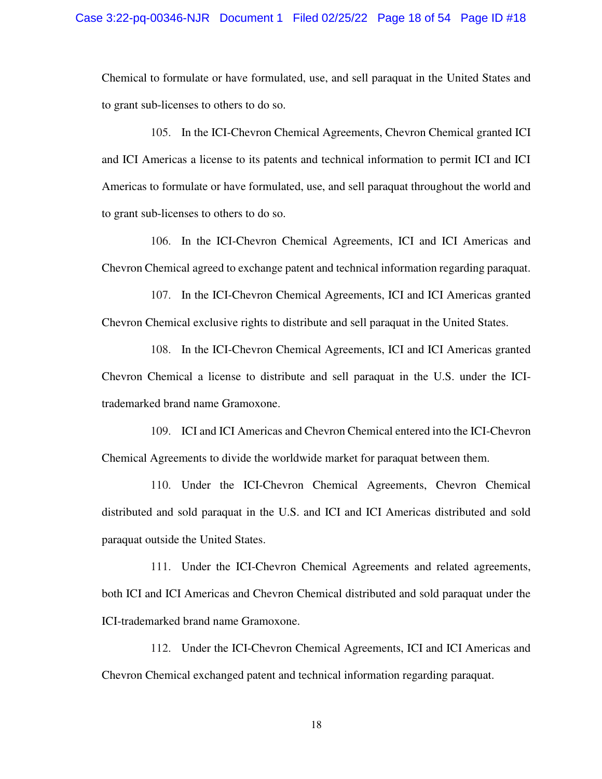Chemical to formulate or have formulated, use, and sell paraquat in the United States and to grant sub-licenses to others to do so.

105. In the ICI-Chevron Chemical Agreements, Chevron Chemical granted ICI and ICI Americas a license to its patents and technical information to permit ICI and ICI Americas to formulate or have formulated, use, and sell paraquat throughout the world and to grant sub-licenses to others to do so.

106. In the ICI-Chevron Chemical Agreements, ICI and ICI Americas and Chevron Chemical agreed to exchange patent and technical information regarding paraquat.

107. In the ICI-Chevron Chemical Agreements, ICI and ICI Americas granted Chevron Chemical exclusive rights to distribute and sell paraquat in the United States.

108. In the ICI-Chevron Chemical Agreements, ICI and ICI Americas granted Chevron Chemical a license to distribute and sell paraquat in the U.S. under the ICItrademarked brand name Gramoxone.

109. ICI and ICI Americas and Chevron Chemical entered into the ICI-Chevron Chemical Agreements to divide the worldwide market for paraquat between them.

110. Under the ICI-Chevron Chemical Agreements, Chevron Chemical distributed and sold paraquat in the U.S. and ICI and ICI Americas distributed and sold paraquat outside the United States.

111. Under the ICI-Chevron Chemical Agreements and related agreements, both ICI and ICI Americas and Chevron Chemical distributed and sold paraquat under the ICI-trademarked brand name Gramoxone.

112. Under the ICI-Chevron Chemical Agreements, ICI and ICI Americas and Chevron Chemical exchanged patent and technical information regarding paraquat.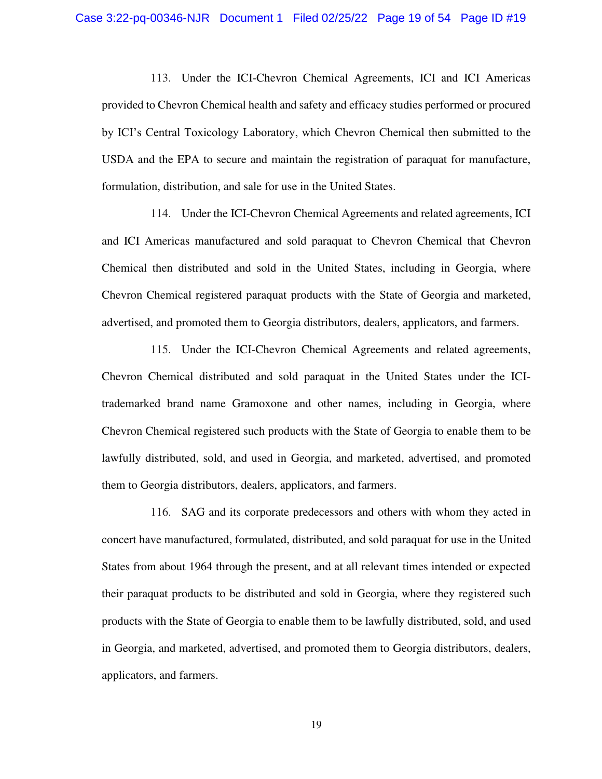113. Under the ICI-Chevron Chemical Agreements, ICI and ICI Americas provided to Chevron Chemical health and safety and efficacy studies performed or procured by ICI's Central Toxicology Laboratory, which Chevron Chemical then submitted to the USDA and the EPA to secure and maintain the registration of paraquat for manufacture, formulation, distribution, and sale for use in the United States.

114. Under the ICI-Chevron Chemical Agreements and related agreements, ICI and ICI Americas manufactured and sold paraquat to Chevron Chemical that Chevron Chemical then distributed and sold in the United States, including in Georgia, where Chevron Chemical registered paraquat products with the State of Georgia and marketed, advertised, and promoted them to Georgia distributors, dealers, applicators, and farmers.

115. Under the ICI-Chevron Chemical Agreements and related agreements, Chevron Chemical distributed and sold paraquat in the United States under the ICItrademarked brand name Gramoxone and other names, including in Georgia, where Chevron Chemical registered such products with the State of Georgia to enable them to be lawfully distributed, sold, and used in Georgia, and marketed, advertised, and promoted them to Georgia distributors, dealers, applicators, and farmers.

116. SAG and its corporate predecessors and others with whom they acted in concert have manufactured, formulated, distributed, and sold paraquat for use in the United States from about 1964 through the present, and at all relevant times intended or expected their paraquat products to be distributed and sold in Georgia, where they registered such products with the State of Georgia to enable them to be lawfully distributed, sold, and used in Georgia, and marketed, advertised, and promoted them to Georgia distributors, dealers, applicators, and farmers.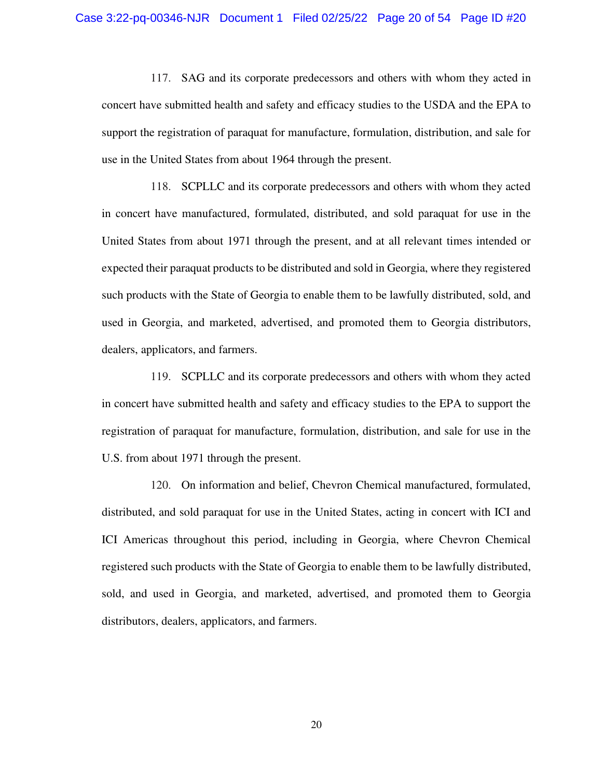117. SAG and its corporate predecessors and others with whom they acted in concert have submitted health and safety and efficacy studies to the USDA and the EPA to support the registration of paraquat for manufacture, formulation, distribution, and sale for use in the United States from about 1964 through the present.

118. SCPLLC and its corporate predecessors and others with whom they acted in concert have manufactured, formulated, distributed, and sold paraquat for use in the United States from about 1971 through the present, and at all relevant times intended or expected their paraquat products to be distributed and sold in Georgia, where they registered such products with the State of Georgia to enable them to be lawfully distributed, sold, and used in Georgia, and marketed, advertised, and promoted them to Georgia distributors, dealers, applicators, and farmers.

119. SCPLLC and its corporate predecessors and others with whom they acted in concert have submitted health and safety and efficacy studies to the EPA to support the registration of paraquat for manufacture, formulation, distribution, and sale for use in the U.S. from about 1971 through the present.

120. On information and belief, Chevron Chemical manufactured, formulated, distributed, and sold paraquat for use in the United States, acting in concert with ICI and ICI Americas throughout this period, including in Georgia, where Chevron Chemical registered such products with the State of Georgia to enable them to be lawfully distributed, sold, and used in Georgia, and marketed, advertised, and promoted them to Georgia distributors, dealers, applicators, and farmers.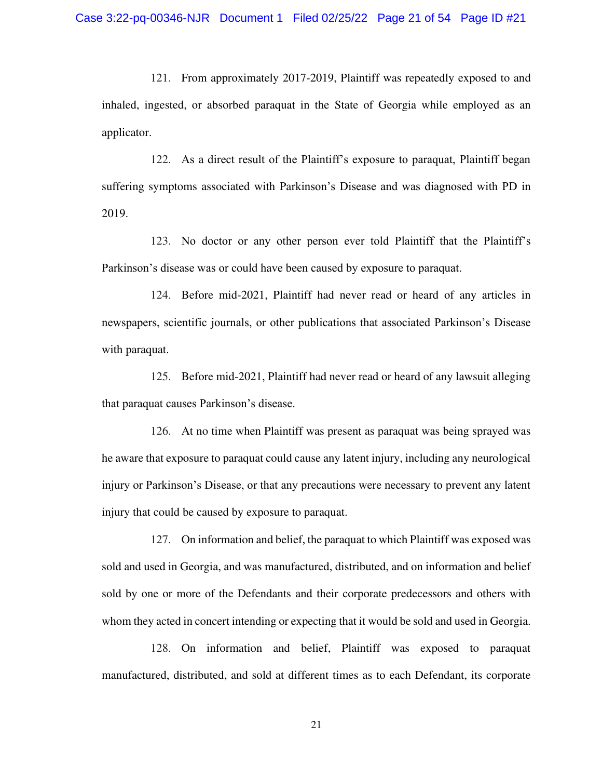121. From approximately 2017-2019, Plaintiff was repeatedly exposed to and inhaled, ingested, or absorbed paraquat in the State of Georgia while employed as an applicator.

122. As a direct result of the Plaintiff's exposure to paraquat, Plaintiff began suffering symptoms associated with Parkinson's Disease and was diagnosed with PD in 2019.

123. No doctor or any other person ever told Plaintiff that the Plaintiff's Parkinson's disease was or could have been caused by exposure to paraquat.

124. Before mid-2021, Plaintiff had never read or heard of any articles in newspapers, scientific journals, or other publications that associated Parkinson's Disease with paraquat.

125. Before mid-2021, Plaintiff had never read or heard of any lawsuit alleging that paraquat causes Parkinson's disease.

126. At no time when Plaintiff was present as paraquat was being sprayed was he aware that exposure to paraquat could cause any latent injury, including any neurological injury or Parkinson's Disease, or that any precautions were necessary to prevent any latent injury that could be caused by exposure to paraquat.

127. On information and belief, the paraquat to which Plaintiff was exposed was sold and used in Georgia, and was manufactured, distributed, and on information and belief sold by one or more of the Defendants and their corporate predecessors and others with whom they acted in concert intending or expecting that it would be sold and used in Georgia.

128. On information and belief, Plaintiff was exposed to paraquat manufactured, distributed, and sold at different times as to each Defendant, its corporate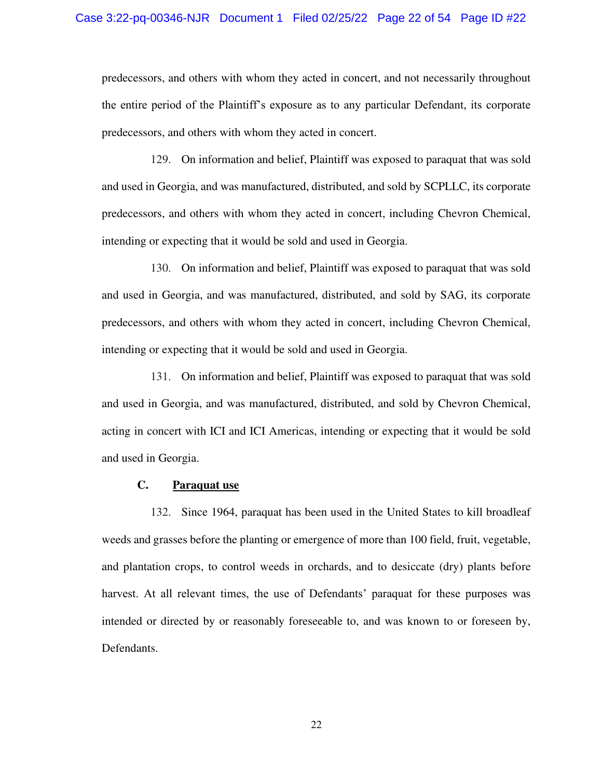predecessors, and others with whom they acted in concert, and not necessarily throughout the entire period of the Plaintiff's exposure as to any particular Defendant, its corporate predecessors, and others with whom they acted in concert.

129. On information and belief, Plaintiff was exposed to paraquat that was sold and used in Georgia, and was manufactured, distributed, and sold by SCPLLC, its corporate predecessors, and others with whom they acted in concert, including Chevron Chemical, intending or expecting that it would be sold and used in Georgia.

130. On information and belief, Plaintiff was exposed to paraquat that was sold and used in Georgia, and was manufactured, distributed, and sold by SAG, its corporate predecessors, and others with whom they acted in concert, including Chevron Chemical, intending or expecting that it would be sold and used in Georgia.

131. On information and belief, Plaintiff was exposed to paraquat that was sold and used in Georgia, and was manufactured, distributed, and sold by Chevron Chemical, acting in concert with ICI and ICI Americas, intending or expecting that it would be sold and used in Georgia.

## **C. Paraquat use**

132. Since 1964, paraquat has been used in the United States to kill broadleaf weeds and grasses before the planting or emergence of more than 100 field, fruit, vegetable, and plantation crops, to control weeds in orchards, and to desiccate (dry) plants before harvest. At all relevant times, the use of Defendants' paraquat for these purposes was intended or directed by or reasonably foreseeable to, and was known to or foreseen by, Defendants.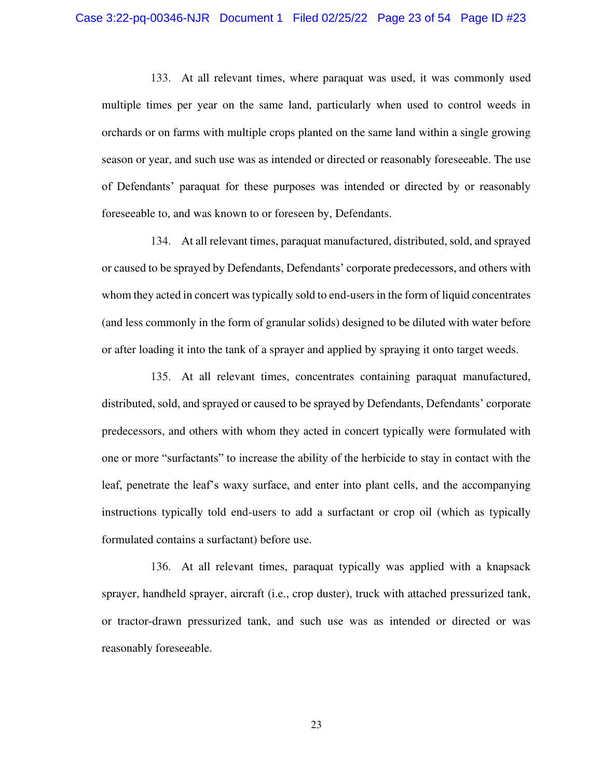133. At all relevant times, where paraquat was used, it was commonly used multiple times per year on the same land, particularly when used to control weeds in orchards or on farms with multiple crops planted on the same land within a single growing season or year, and such use was as intended or directed or reasonably foreseeable. The use of Defendants' paraquat for these purposes was intended or directed by or reasonably foreseeable to, and was known to or foreseen by, Defendants.

134. At all relevant times, paraquat manufactured, distributed, sold, and sprayed or caused to be sprayed by Defendants, Defendants' corporate predecessors, and others with whom they acted in concert was typically sold to end-users in the form of liquid concentrates (and less commonly in the form of granular solids) designed to be diluted with water before or after loading it into the tank of a sprayer and applied by spraying it onto target weeds.

135. At all relevant times, concentrates containing paraquat manufactured, distributed, sold, and sprayed or caused to be sprayed by Defendants, Defendants' corporate predecessors, and others with whom they acted in concert typically were formulated with one or more "surfactants" to increase the ability of the herbicide to stay in contact with the leaf, penetrate the leaf's waxy surface, and enter into plant cells, and the accompanying instructions typically told end-users to add a surfactant or crop oil (which as typically formulated contains a surfactant) before use.

136. At all relevant times, paraquat typically was applied with a knapsack sprayer, handheld sprayer, aircraft (i.e., crop duster), truck with attached pressurized tank, or tractor-drawn pressurized tank, and such use was as intended or directed or was reasonably foreseeable.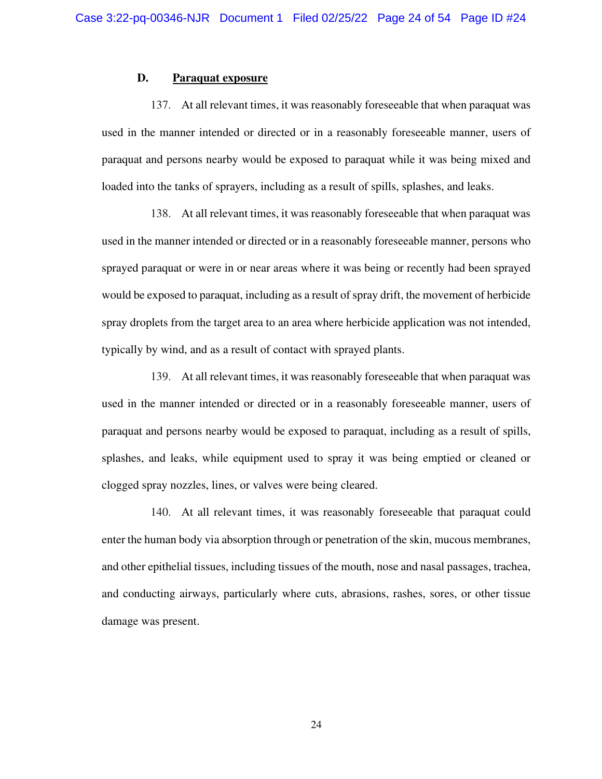### **D. Paraquat exposure**

137. At all relevant times, it was reasonably foreseeable that when paraquat was used in the manner intended or directed or in a reasonably foreseeable manner, users of paraquat and persons nearby would be exposed to paraquat while it was being mixed and loaded into the tanks of sprayers, including as a result of spills, splashes, and leaks.

138. At all relevant times, it was reasonably foreseeable that when paraquat was used in the manner intended or directed or in a reasonably foreseeable manner, persons who sprayed paraquat or were in or near areas where it was being or recently had been sprayed would be exposed to paraquat, including as a result of spray drift, the movement of herbicide spray droplets from the target area to an area where herbicide application was not intended, typically by wind, and as a result of contact with sprayed plants.

139. At all relevant times, it was reasonably foreseeable that when paraquat was used in the manner intended or directed or in a reasonably foreseeable manner, users of paraquat and persons nearby would be exposed to paraquat, including as a result of spills, splashes, and leaks, while equipment used to spray it was being emptied or cleaned or clogged spray nozzles, lines, or valves were being cleared.

140. At all relevant times, it was reasonably foreseeable that paraquat could enter the human body via absorption through or penetration of the skin, mucous membranes, and other epithelial tissues, including tissues of the mouth, nose and nasal passages, trachea, and conducting airways, particularly where cuts, abrasions, rashes, sores, or other tissue damage was present.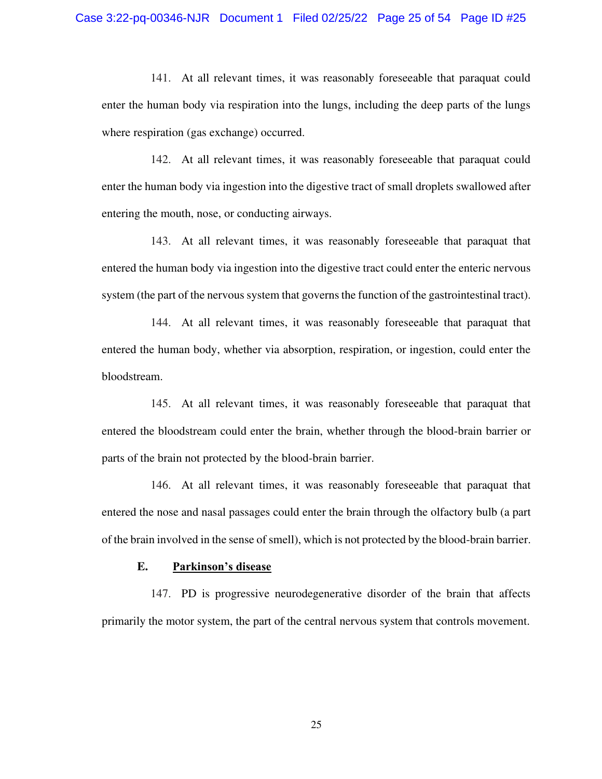141. At all relevant times, it was reasonably foreseeable that paraquat could enter the human body via respiration into the lungs, including the deep parts of the lungs where respiration (gas exchange) occurred.

142. At all relevant times, it was reasonably foreseeable that paraquat could enter the human body via ingestion into the digestive tract of small droplets swallowed after entering the mouth, nose, or conducting airways.

143. At all relevant times, it was reasonably foreseeable that paraquat that entered the human body via ingestion into the digestive tract could enter the enteric nervous system (the part of the nervous system that governs the function of the gastrointestinal tract).

144. At all relevant times, it was reasonably foreseeable that paraquat that entered the human body, whether via absorption, respiration, or ingestion, could enter the bloodstream.

145. At all relevant times, it was reasonably foreseeable that paraquat that entered the bloodstream could enter the brain, whether through the blood-brain barrier or parts of the brain not protected by the blood-brain barrier.

146. At all relevant times, it was reasonably foreseeable that paraquat that entered the nose and nasal passages could enter the brain through the olfactory bulb (a part of the brain involved in the sense of smell), which is not protected by the blood-brain barrier.

## **E. Parkinson's disease**

147. PD is progressive neurodegenerative disorder of the brain that affects primarily the motor system, the part of the central nervous system that controls movement.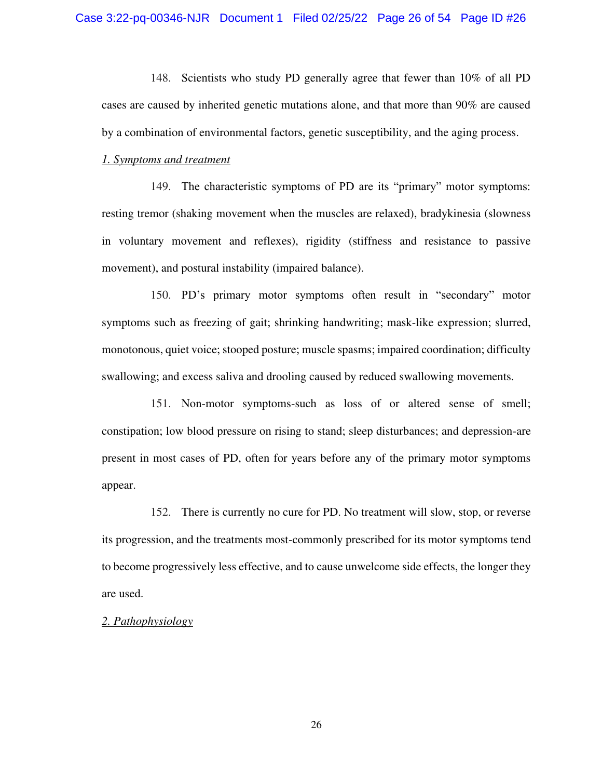148. Scientists who study PD generally agree that fewer than 10% of all PD cases are caused by inherited genetic mutations alone, and that more than 90% are caused by a combination of environmental factors, genetic susceptibility, and the aging process.

#### *1. Symptoms and treatment*

149. The characteristic symptoms of PD are its "primary" motor symptoms: resting tremor (shaking movement when the muscles are relaxed), bradykinesia (slowness in voluntary movement and reflexes), rigidity (stiffness and resistance to passive movement), and postural instability (impaired balance).

150. PD's primary motor symptoms often result in "secondary" motor symptoms such as freezing of gait; shrinking handwriting; mask-like expression; slurred, monotonous, quiet voice; stooped posture; muscle spasms; impaired coordination; difficulty swallowing; and excess saliva and drooling caused by reduced swallowing movements.

151. Non-motor symptoms-such as loss of or altered sense of smell; constipation; low blood pressure on rising to stand; sleep disturbances; and depression-are present in most cases of PD, often for years before any of the primary motor symptoms appear.

152. There is currently no cure for PD. No treatment will slow, stop, or reverse its progression, and the treatments most-commonly prescribed for its motor symptoms tend to become progressively less effective, and to cause unwelcome side effects, the longer they are used.

#### *2. Pathophysiology*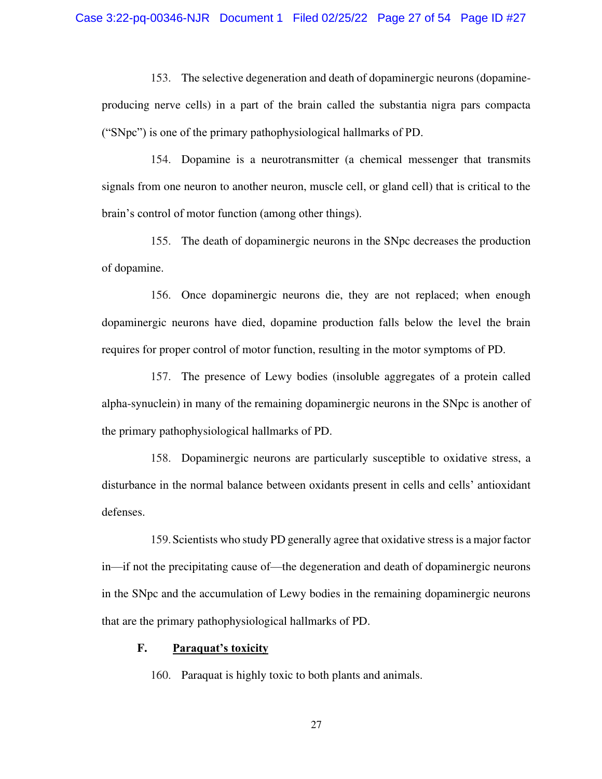153. The selective degeneration and death of dopaminergic neurons (dopamineproducing nerve cells) in a part of the brain called the substantia nigra pars compacta ("SNpc") is one of the primary pathophysiological hallmarks of PD.

154. Dopamine is a neurotransmitter (a chemical messenger that transmits signals from one neuron to another neuron, muscle cell, or gland cell) that is critical to the brain's control of motor function (among other things).

155. The death of dopaminergic neurons in the SNpc decreases the production of dopamine.

156. Once dopaminergic neurons die, they are not replaced; when enough dopaminergic neurons have died, dopamine production falls below the level the brain requires for proper control of motor function, resulting in the motor symptoms of PD.

157. The presence of Lewy bodies (insoluble aggregates of a protein called alpha-synuclein) in many of the remaining dopaminergic neurons in the SNpc is another of the primary pathophysiological hallmarks of PD.

158. Dopaminergic neurons are particularly susceptible to oxidative stress, a disturbance in the normal balance between oxidants present in cells and cells' antioxidant defenses.

159.Scientists who study PD generally agree that oxidative stress is a major factor in—if not the precipitating cause of—the degeneration and death of dopaminergic neurons in the SNpc and the accumulation of Lewy bodies in the remaining dopaminergic neurons that are the primary pathophysiological hallmarks of PD.

## **F. Paraquat's toxicity**

160. Paraquat is highly toxic to both plants and animals.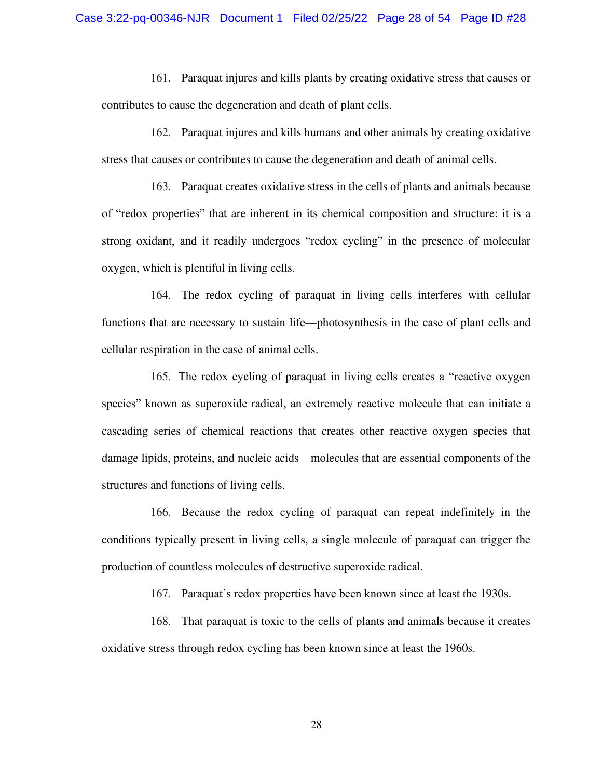161. Paraquat injures and kills plants by creating oxidative stress that causes or contributes to cause the degeneration and death of plant cells.

162. Paraquat injures and kills humans and other animals by creating oxidative stress that causes or contributes to cause the degeneration and death of animal cells.

163. Paraquat creates oxidative stress in the cells of plants and animals because of "redox properties" that are inherent in its chemical composition and structure: it is a strong oxidant, and it readily undergoes "redox cycling" in the presence of molecular oxygen, which is plentiful in living cells.

164. The redox cycling of paraquat in living cells interferes with cellular functions that are necessary to sustain life—photosynthesis in the case of plant cells and cellular respiration in the case of animal cells.

165. The redox cycling of paraquat in living cells creates a "reactive oxygen species" known as superoxide radical, an extremely reactive molecule that can initiate a cascading series of chemical reactions that creates other reactive oxygen species that damage lipids, proteins, and nucleic acids—molecules that are essential components of the structures and functions of living cells.

166. Because the redox cycling of paraquat can repeat indefinitely in the conditions typically present in living cells, a single molecule of paraquat can trigger the production of countless molecules of destructive superoxide radical.

167. Paraquat's redox properties have been known since at least the 1930s.

168. That paraquat is toxic to the cells of plants and animals because it creates oxidative stress through redox cycling has been known since at least the 1960s.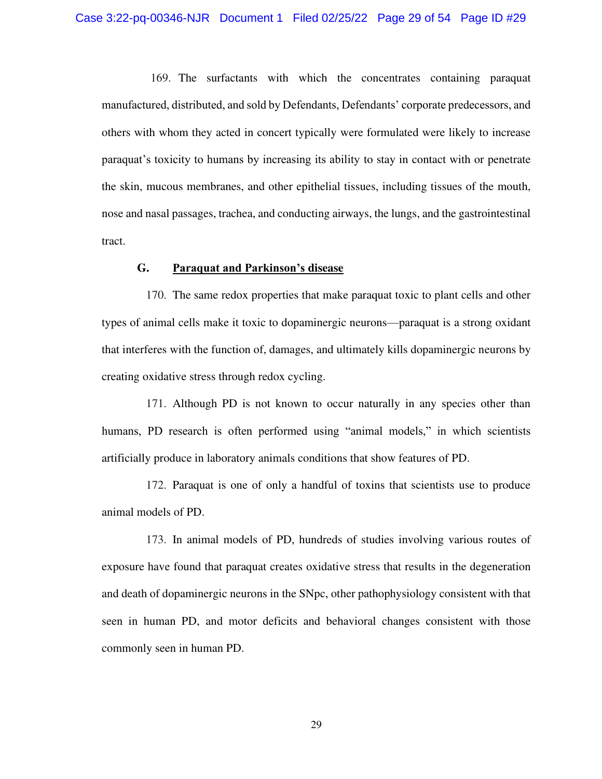169. The surfactants with which the concentrates containing paraquat manufactured, distributed, and sold by Defendants, Defendants' corporate predecessors, and others with whom they acted in concert typically were formulated were likely to increase paraquat's toxicity to humans by increasing its ability to stay in contact with or penetrate the skin, mucous membranes, and other epithelial tissues, including tissues of the mouth, nose and nasal passages, trachea, and conducting airways, the lungs, and the gastrointestinal tract.

### **G. Paraquat and Parkinson's disease**

170. The same redox properties that make paraquat toxic to plant cells and other types of animal cells make it toxic to dopaminergic neurons—paraquat is a strong oxidant that interferes with the function of, damages, and ultimately kills dopaminergic neurons by creating oxidative stress through redox cycling.

171. Although PD is not known to occur naturally in any species other than humans, PD research is often performed using "animal models," in which scientists artificially produce in laboratory animals conditions that show features of PD.

172. Paraquat is one of only a handful of toxins that scientists use to produce animal models of PD.

173. In animal models of PD, hundreds of studies involving various routes of exposure have found that paraquat creates oxidative stress that results in the degeneration and death of dopaminergic neurons in the SNpc, other pathophysiology consistent with that seen in human PD, and motor deficits and behavioral changes consistent with those commonly seen in human PD.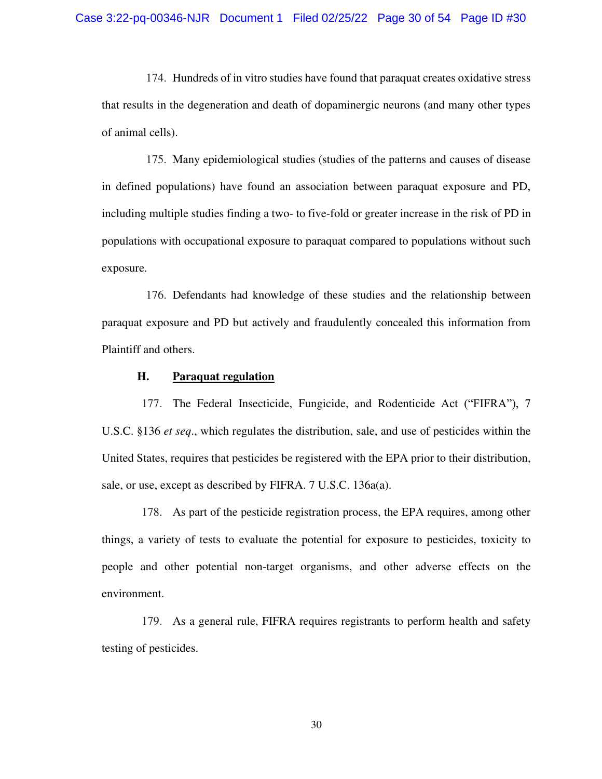174. Hundreds of in vitro studies have found that paraquat creates oxidative stress that results in the degeneration and death of dopaminergic neurons (and many other types of animal cells).

175. Many epidemiological studies (studies of the patterns and causes of disease in defined populations) have found an association between paraquat exposure and PD, including multiple studies finding a two- to five-fold or greater increase in the risk of PD in populations with occupational exposure to paraquat compared to populations without such exposure.

176. Defendants had knowledge of these studies and the relationship between paraquat exposure and PD but actively and fraudulently concealed this information from Plaintiff and others.

## **H. Paraquat regulation**

177. The Federal Insecticide, Fungicide, and Rodenticide Act ("FIFRA"), 7 U.S.C. §136 *et seq*., which regulates the distribution, sale, and use of pesticides within the United States, requires that pesticides be registered with the EPA prior to their distribution, sale, or use, except as described by FIFRA. 7 U.S.C. 136a(a).

178. As part of the pesticide registration process, the EPA requires, among other things, a variety of tests to evaluate the potential for exposure to pesticides, toxicity to people and other potential non-target organisms, and other adverse effects on the environment.

179. As a general rule, FIFRA requires registrants to perform health and safety testing of pesticides.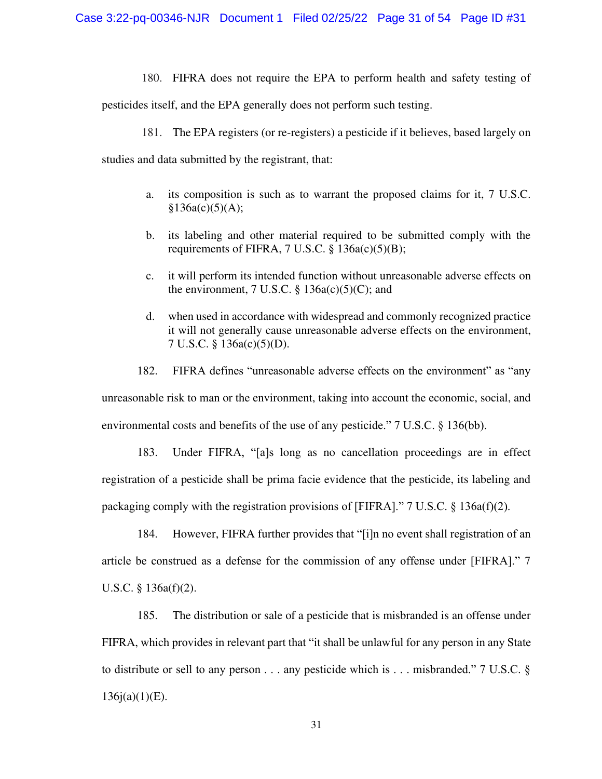180. FIFRA does not require the EPA to perform health and safety testing of

pesticides itself, and the EPA generally does not perform such testing.

181. The EPA registers (or re-registers) a pesticide if it believes, based largely on

studies and data submitted by the registrant, that:

- a. its composition is such as to warrant the proposed claims for it, 7 U.S.C.  $§136a(c)(5)(A);$
- b. its labeling and other material required to be submitted comply with the requirements of FIFRA,  $7 \text{ U.S.C. }$   $\S$  136a(c)(5)(B);
- c. it will perform its intended function without unreasonable adverse effects on the environment, 7 U.S.C.  $\S$  136a(c)(5)(C); and
- d. when used in accordance with widespread and commonly recognized practice it will not generally cause unreasonable adverse effects on the environment, 7 U.S.C. § 136a(c)(5)(D).

182. FIFRA defines "unreasonable adverse effects on the environment" as "any unreasonable risk to man or the environment, taking into account the economic, social, and environmental costs and benefits of the use of any pesticide." 7 U.S.C. § 136(bb).

183. Under FIFRA, "[a]s long as no cancellation proceedings are in effect registration of a pesticide shall be prima facie evidence that the pesticide, its labeling and packaging comply with the registration provisions of [FIFRA]." 7 U.S.C. § 136a(f)(2).

184. However, FIFRA further provides that "[i]n no event shall registration of an article be construed as a defense for the commission of any offense under [FIFRA]." 7 U.S.C. § 136a(f)(2).

185. The distribution or sale of a pesticide that is misbranded is an offense under FIFRA, which provides in relevant part that "it shall be unlawful for any person in any State to distribute or sell to any person . . . any pesticide which is . . . misbranded." 7 U.S.C.  $\S$  $136j(a)(1)(E)$ .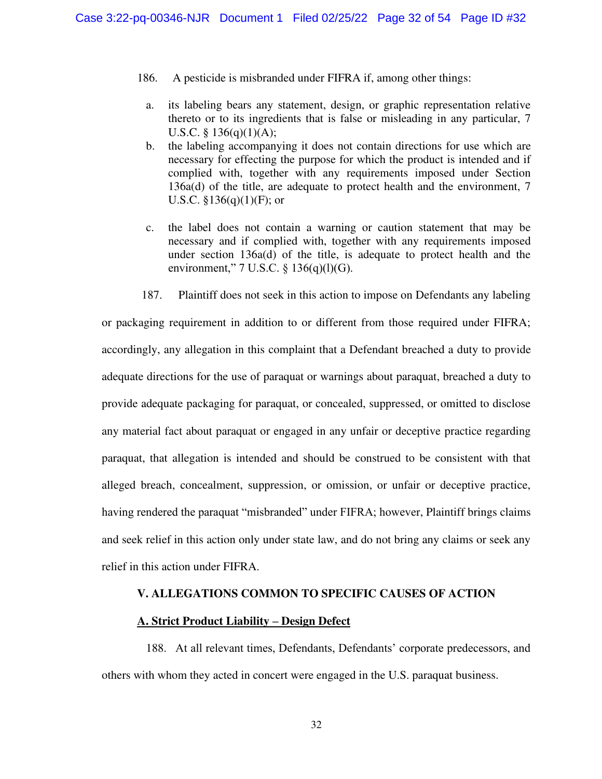- 186. A pesticide is misbranded under FIFRA if, among other things:
- a. its labeling bears any statement, design, or graphic representation relative thereto or to its ingredients that is false or misleading in any particular, 7 U.S.C. §  $136(q)(1)(A);$
- b. the labeling accompanying it does not contain directions for use which are necessary for effecting the purpose for which the product is intended and if complied with, together with any requirements imposed under Section 136a(d) of the title, are adequate to protect health and the environment, 7 U.S.C.  $$136(q)(1)(F)$ ; or
- c. the label does not contain a warning or caution statement that may be necessary and if complied with, together with any requirements imposed under section 136a(d) of the title, is adequate to protect health and the environment,"  $7 \text{ U.S.C. } \S$  136(q)(1)(G).
- 187. Plaintiff does not seek in this action to impose on Defendants any labeling

or packaging requirement in addition to or different from those required under FIFRA; accordingly, any allegation in this complaint that a Defendant breached a duty to provide adequate directions for the use of paraquat or warnings about paraquat, breached a duty to provide adequate packaging for paraquat, or concealed, suppressed, or omitted to disclose any material fact about paraquat or engaged in any unfair or deceptive practice regarding paraquat, that allegation is intended and should be construed to be consistent with that alleged breach, concealment, suppression, or omission, or unfair or deceptive practice, having rendered the paraquat "misbranded" under FIFRA; however, Plaintiff brings claims and seek relief in this action only under state law, and do not bring any claims or seek any relief in this action under FIFRA.

#### **V. ALLEGATIONS COMMON TO SPECIFIC CAUSES OF ACTION**

#### **A. Strict Product Liability – Design Defect**

188. At all relevant times, Defendants, Defendants' corporate predecessors, and others with whom they acted in concert were engaged in the U.S. paraquat business.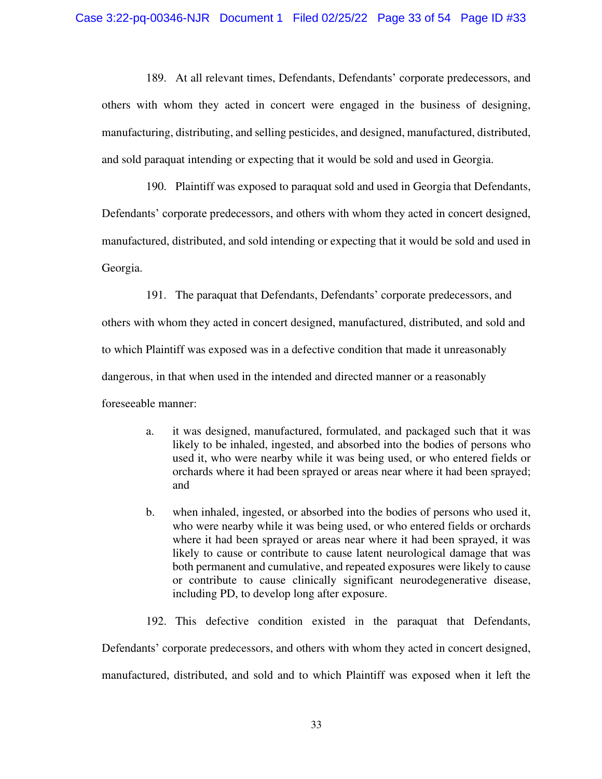189. At all relevant times, Defendants, Defendants' corporate predecessors, and others with whom they acted in concert were engaged in the business of designing, manufacturing, distributing, and selling pesticides, and designed, manufactured, distributed, and sold paraquat intending or expecting that it would be sold and used in Georgia.

190. Plaintiff was exposed to paraquat sold and used in Georgia that Defendants, Defendants' corporate predecessors, and others with whom they acted in concert designed, manufactured, distributed, and sold intending or expecting that it would be sold and used in Georgia.

191. The paraquat that Defendants, Defendants' corporate predecessors, and

others with whom they acted in concert designed, manufactured, distributed, and sold and to which Plaintiff was exposed was in a defective condition that made it unreasonably dangerous, in that when used in the intended and directed manner or a reasonably

foreseeable manner:

- a. it was designed, manufactured, formulated, and packaged such that it was likely to be inhaled, ingested, and absorbed into the bodies of persons who used it, who were nearby while it was being used, or who entered fields or orchards where it had been sprayed or areas near where it had been sprayed; and
- b. when inhaled, ingested, or absorbed into the bodies of persons who used it, who were nearby while it was being used, or who entered fields or orchards where it had been sprayed or areas near where it had been sprayed, it was likely to cause or contribute to cause latent neurological damage that was both permanent and cumulative, and repeated exposures were likely to cause or contribute to cause clinically significant neurodegenerative disease, including PD, to develop long after exposure.
- 192. This defective condition existed in the paraquat that Defendants,

Defendants' corporate predecessors, and others with whom they acted in concert designed, manufactured, distributed, and sold and to which Plaintiff was exposed when it left the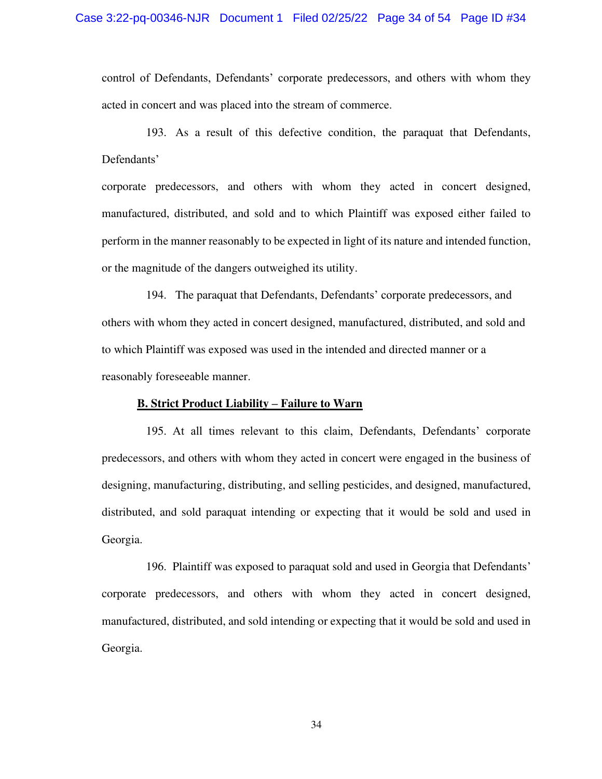control of Defendants, Defendants' corporate predecessors, and others with whom they acted in concert and was placed into the stream of commerce.

193. As a result of this defective condition, the paraquat that Defendants, Defendants'

corporate predecessors, and others with whom they acted in concert designed, manufactured, distributed, and sold and to which Plaintiff was exposed either failed to perform in the manner reasonably to be expected in light of its nature and intended function, or the magnitude of the dangers outweighed its utility.

194. The paraquat that Defendants, Defendants' corporate predecessors, and others with whom they acted in concert designed, manufactured, distributed, and sold and to which Plaintiff was exposed was used in the intended and directed manner or a reasonably foreseeable manner.

#### **B. Strict Product Liability – Failure to Warn**

195. At all times relevant to this claim, Defendants, Defendants' corporate predecessors, and others with whom they acted in concert were engaged in the business of designing, manufacturing, distributing, and selling pesticides, and designed, manufactured, distributed, and sold paraquat intending or expecting that it would be sold and used in Georgia.

196. Plaintiff was exposed to paraquat sold and used in Georgia that Defendants' corporate predecessors, and others with whom they acted in concert designed, manufactured, distributed, and sold intending or expecting that it would be sold and used in Georgia.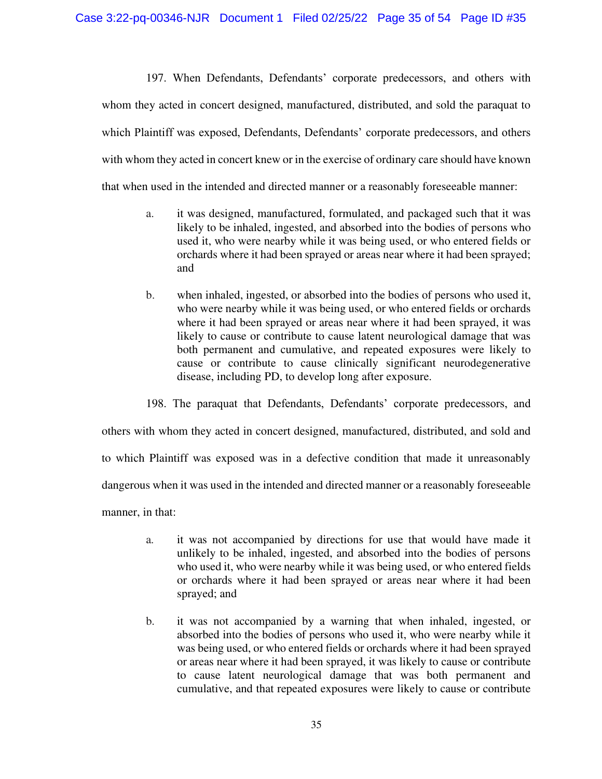197. When Defendants, Defendants' corporate predecessors, and others with whom they acted in concert designed, manufactured, distributed, and sold the paraquat to which Plaintiff was exposed, Defendants, Defendants' corporate predecessors, and others with whom they acted in concert knew or in the exercise of ordinary care should have known that when used in the intended and directed manner or a reasonably foreseeable manner:

- a. it was designed, manufactured, formulated, and packaged such that it was likely to be inhaled, ingested, and absorbed into the bodies of persons who used it, who were nearby while it was being used, or who entered fields or orchards where it had been sprayed or areas near where it had been sprayed; and
- b. when inhaled, ingested, or absorbed into the bodies of persons who used it, who were nearby while it was being used, or who entered fields or orchards where it had been sprayed or areas near where it had been sprayed, it was likely to cause or contribute to cause latent neurological damage that was both permanent and cumulative, and repeated exposures were likely to cause or contribute to cause clinically significant neurodegenerative disease, including PD, to develop long after exposure.

198. The paraquat that Defendants, Defendants' corporate predecessors, and

others with whom they acted in concert designed, manufactured, distributed, and sold and

to which Plaintiff was exposed was in a defective condition that made it unreasonably

dangerous when it was used in the intended and directed manner or a reasonably foreseeable

manner, in that:

- a. it was not accompanied by directions for use that would have made it unlikely to be inhaled, ingested, and absorbed into the bodies of persons who used it, who were nearby while it was being used, or who entered fields or orchards where it had been sprayed or areas near where it had been sprayed; and
- b. it was not accompanied by a warning that when inhaled, ingested, or absorbed into the bodies of persons who used it, who were nearby while it was being used, or who entered fields or orchards where it had been sprayed or areas near where it had been sprayed, it was likely to cause or contribute to cause latent neurological damage that was both permanent and cumulative, and that repeated exposures were likely to cause or contribute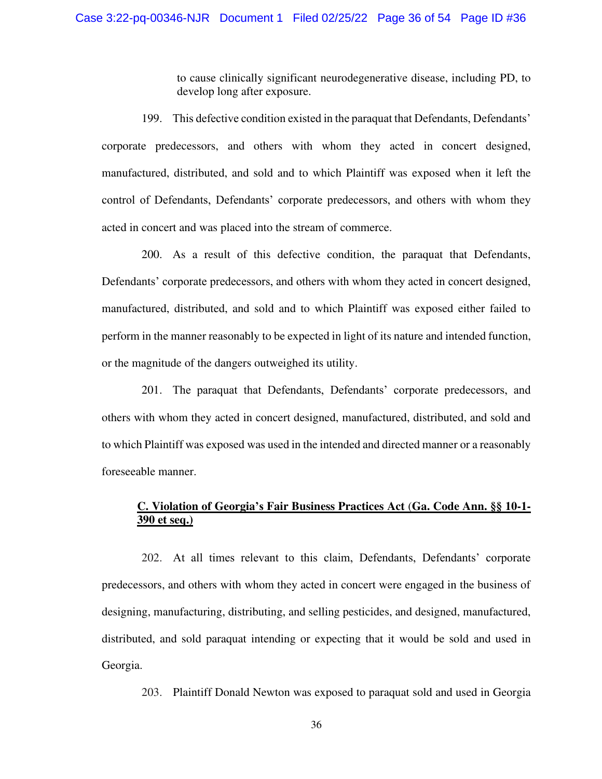to cause clinically significant neurodegenerative disease, including PD, to develop long after exposure.

199. This defective condition existed in the paraquat that Defendants, Defendants' corporate predecessors, and others with whom they acted in concert designed, manufactured, distributed, and sold and to which Plaintiff was exposed when it left the control of Defendants, Defendants' corporate predecessors, and others with whom they acted in concert and was placed into the stream of commerce.

200. As a result of this defective condition, the paraquat that Defendants, Defendants' corporate predecessors, and others with whom they acted in concert designed, manufactured, distributed, and sold and to which Plaintiff was exposed either failed to perform in the manner reasonably to be expected in light of its nature and intended function, or the magnitude of the dangers outweighed its utility.

201. The paraquat that Defendants, Defendants' corporate predecessors, and others with whom they acted in concert designed, manufactured, distributed, and sold and to which Plaintiff was exposed was used in the intended and directed manner or a reasonably foreseeable manner.

# **C. Violation of Georgia's Fair Business Practices Act** (**Ga. Code Ann. §§ 10-1- 390 et seq.)**

202. At all times relevant to this claim, Defendants, Defendants' corporate predecessors, and others with whom they acted in concert were engaged in the business of designing, manufacturing, distributing, and selling pesticides, and designed, manufactured, distributed, and sold paraquat intending or expecting that it would be sold and used in Georgia.

203. Plaintiff Donald Newton was exposed to paraquat sold and used in Georgia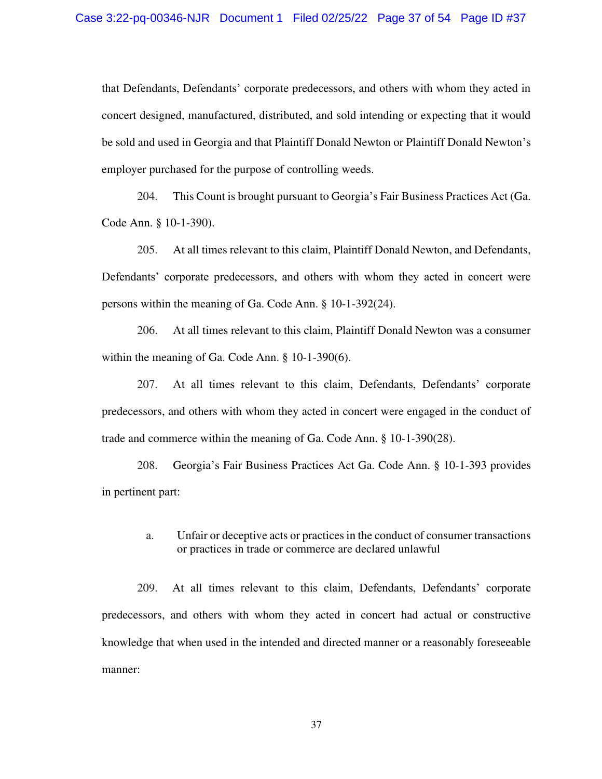that Defendants, Defendants' corporate predecessors, and others with whom they acted in concert designed, manufactured, distributed, and sold intending or expecting that it would be sold and used in Georgia and that Plaintiff Donald Newton or Plaintiff Donald Newton's employer purchased for the purpose of controlling weeds.

204. This Count is brought pursuant to Georgia's Fair Business Practices Act (Ga. Code Ann. § 10-1-390).

205. At all times relevant to this claim, Plaintiff Donald Newton, and Defendants, Defendants' corporate predecessors, and others with whom they acted in concert were persons within the meaning of Ga. Code Ann. § 10-1-392(24).

206. At all times relevant to this claim, Plaintiff Donald Newton was a consumer within the meaning of Ga. Code Ann. § 10-1-390(6).

207. At all times relevant to this claim, Defendants, Defendants' corporate predecessors, and others with whom they acted in concert were engaged in the conduct of trade and commerce within the meaning of Ga. Code Ann. § 10-1-390(28).

208. Georgia's Fair Business Practices Act Ga. Code Ann. § 10-1-393 provides in pertinent part:

## a. Unfair or deceptive acts or practices in the conduct of consumer transactions or practices in trade or commerce are declared unlawful

209. At all times relevant to this claim, Defendants, Defendants' corporate predecessors, and others with whom they acted in concert had actual or constructive knowledge that when used in the intended and directed manner or a reasonably foreseeable manner: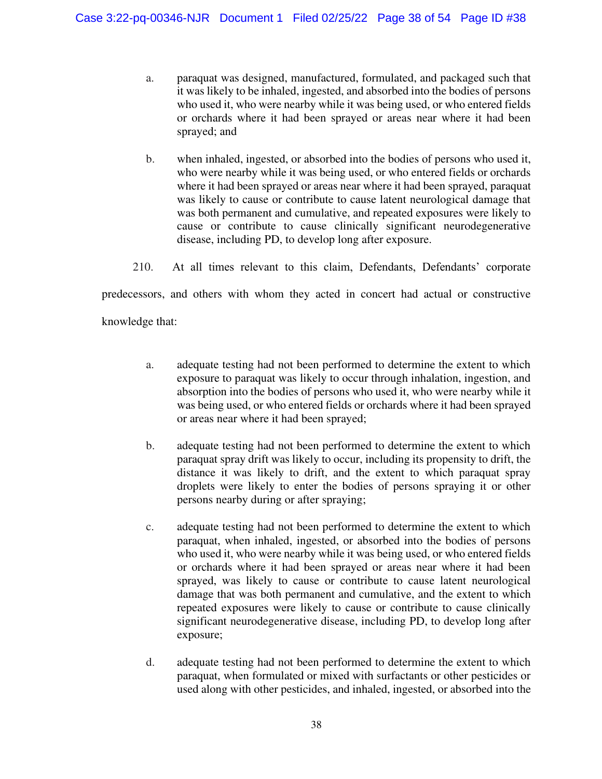- a. paraquat was designed, manufactured, formulated, and packaged such that it was likely to be inhaled, ingested, and absorbed into the bodies of persons who used it, who were nearby while it was being used, or who entered fields or orchards where it had been sprayed or areas near where it had been sprayed; and
- b. when inhaled, ingested, or absorbed into the bodies of persons who used it, who were nearby while it was being used, or who entered fields or orchards where it had been sprayed or areas near where it had been sprayed, paraquat was likely to cause or contribute to cause latent neurological damage that was both permanent and cumulative, and repeated exposures were likely to cause or contribute to cause clinically significant neurodegenerative disease, including PD, to develop long after exposure.
- 210. At all times relevant to this claim, Defendants, Defendants' corporate

predecessors, and others with whom they acted in concert had actual or constructive

knowledge that:

- a. adequate testing had not been performed to determine the extent to which exposure to paraquat was likely to occur through inhalation, ingestion, and absorption into the bodies of persons who used it, who were nearby while it was being used, or who entered fields or orchards where it had been sprayed or areas near where it had been sprayed;
- b. adequate testing had not been performed to determine the extent to which paraquat spray drift was likely to occur, including its propensity to drift, the distance it was likely to drift, and the extent to which paraquat spray droplets were likely to enter the bodies of persons spraying it or other persons nearby during or after spraying;
- c. adequate testing had not been performed to determine the extent to which paraquat, when inhaled, ingested, or absorbed into the bodies of persons who used it, who were nearby while it was being used, or who entered fields or orchards where it had been sprayed or areas near where it had been sprayed, was likely to cause or contribute to cause latent neurological damage that was both permanent and cumulative, and the extent to which repeated exposures were likely to cause or contribute to cause clinically significant neurodegenerative disease, including PD, to develop long after exposure;
- d. adequate testing had not been performed to determine the extent to which paraquat, when formulated or mixed with surfactants or other pesticides or used along with other pesticides, and inhaled, ingested, or absorbed into the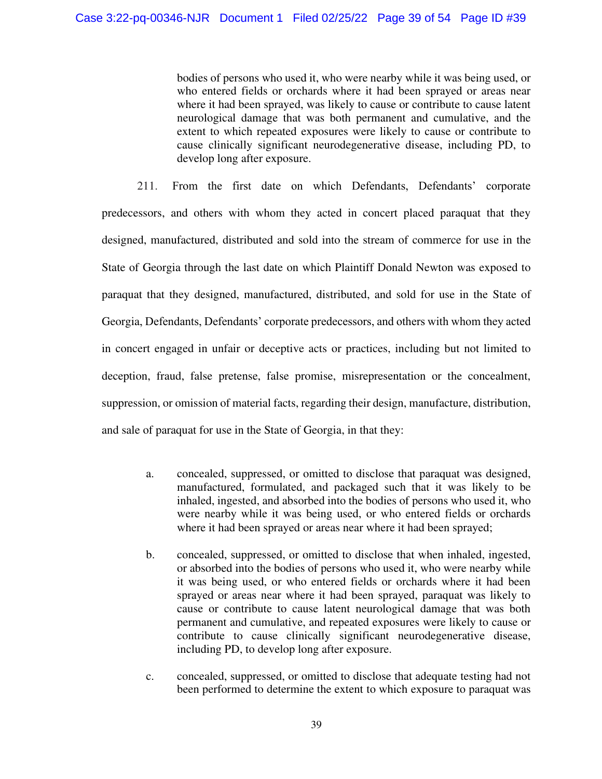bodies of persons who used it, who were nearby while it was being used, or who entered fields or orchards where it had been sprayed or areas near where it had been sprayed, was likely to cause or contribute to cause latent neurological damage that was both permanent and cumulative, and the extent to which repeated exposures were likely to cause or contribute to cause clinically significant neurodegenerative disease, including PD, to develop long after exposure.

211. From the first date on which Defendants, Defendants' corporate predecessors, and others with whom they acted in concert placed paraquat that they designed, manufactured, distributed and sold into the stream of commerce for use in the State of Georgia through the last date on which Plaintiff Donald Newton was exposed to paraquat that they designed, manufactured, distributed, and sold for use in the State of Georgia, Defendants, Defendants' corporate predecessors, and others with whom they acted in concert engaged in unfair or deceptive acts or practices, including but not limited to deception, fraud, false pretense, false promise, misrepresentation or the concealment, suppression, or omission of material facts, regarding their design, manufacture, distribution, and sale of paraquat for use in the State of Georgia, in that they:

- a. concealed, suppressed, or omitted to disclose that paraquat was designed, manufactured, formulated, and packaged such that it was likely to be inhaled, ingested, and absorbed into the bodies of persons who used it, who were nearby while it was being used, or who entered fields or orchards where it had been sprayed or areas near where it had been sprayed;
- b. concealed, suppressed, or omitted to disclose that when inhaled, ingested, or absorbed into the bodies of persons who used it, who were nearby while it was being used, or who entered fields or orchards where it had been sprayed or areas near where it had been sprayed, paraquat was likely to cause or contribute to cause latent neurological damage that was both permanent and cumulative, and repeated exposures were likely to cause or contribute to cause clinically significant neurodegenerative disease, including PD, to develop long after exposure.
- c. concealed, suppressed, or omitted to disclose that adequate testing had not been performed to determine the extent to which exposure to paraquat was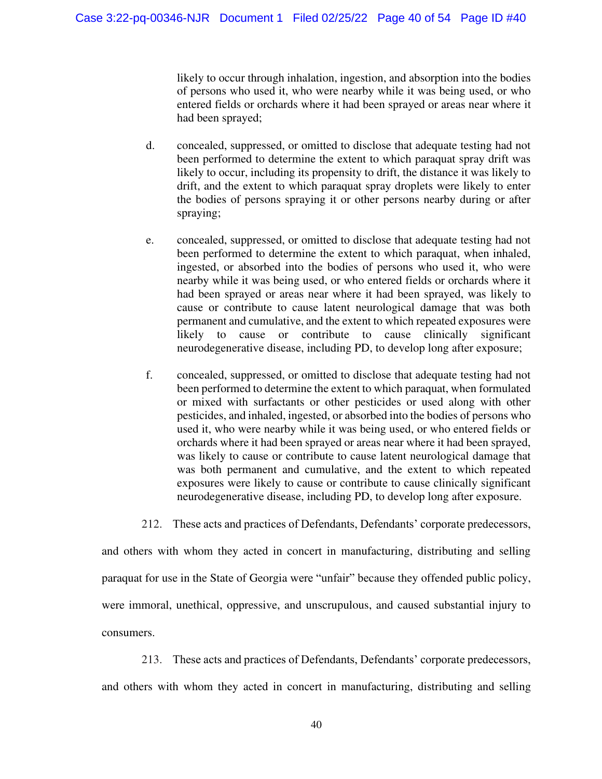likely to occur through inhalation, ingestion, and absorption into the bodies of persons who used it, who were nearby while it was being used, or who entered fields or orchards where it had been sprayed or areas near where it had been sprayed;

- d. concealed, suppressed, or omitted to disclose that adequate testing had not been performed to determine the extent to which paraquat spray drift was likely to occur, including its propensity to drift, the distance it was likely to drift, and the extent to which paraquat spray droplets were likely to enter the bodies of persons spraying it or other persons nearby during or after spraying;
- e. concealed, suppressed, or omitted to disclose that adequate testing had not been performed to determine the extent to which paraquat, when inhaled, ingested, or absorbed into the bodies of persons who used it, who were nearby while it was being used, or who entered fields or orchards where it had been sprayed or areas near where it had been sprayed, was likely to cause or contribute to cause latent neurological damage that was both permanent and cumulative, and the extent to which repeated exposures were likely to cause or contribute to cause clinically significant neurodegenerative disease, including PD, to develop long after exposure;
- f. concealed, suppressed, or omitted to disclose that adequate testing had not been performed to determine the extent to which paraquat, when formulated or mixed with surfactants or other pesticides or used along with other pesticides, and inhaled, ingested, or absorbed into the bodies of persons who used it, who were nearby while it was being used, or who entered fields or orchards where it had been sprayed or areas near where it had been sprayed, was likely to cause or contribute to cause latent neurological damage that was both permanent and cumulative, and the extent to which repeated exposures were likely to cause or contribute to cause clinically significant neurodegenerative disease, including PD, to develop long after exposure.

212. These acts and practices of Defendants, Defendants' corporate predecessors,

and others with whom they acted in concert in manufacturing, distributing and selling paraquat for use in the State of Georgia were "unfair" because they offended public policy, were immoral, unethical, oppressive, and unscrupulous, and caused substantial injury to consumers.

213. These acts and practices of Defendants, Defendants' corporate predecessors, and others with whom they acted in concert in manufacturing, distributing and selling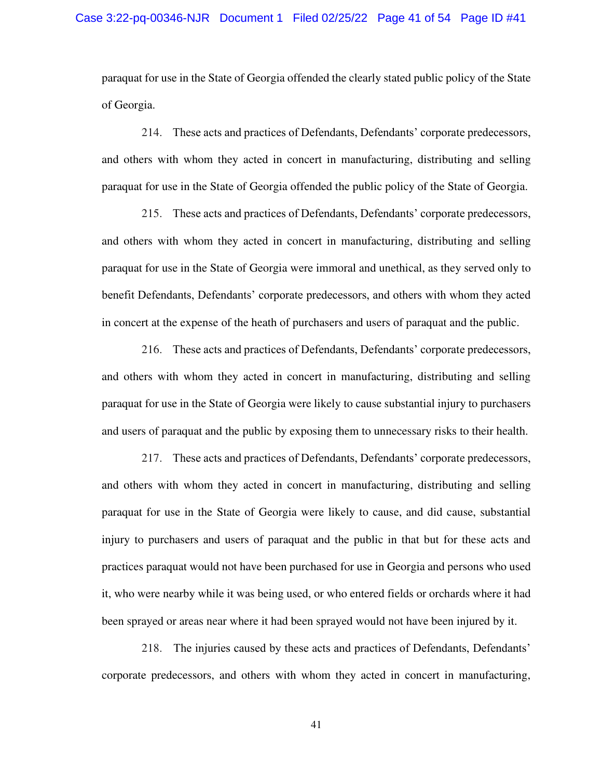paraquat for use in the State of Georgia offended the clearly stated public policy of the State of Georgia.

214. These acts and practices of Defendants, Defendants' corporate predecessors, and others with whom they acted in concert in manufacturing, distributing and selling paraquat for use in the State of Georgia offended the public policy of the State of Georgia.

215. These acts and practices of Defendants, Defendants' corporate predecessors, and others with whom they acted in concert in manufacturing, distributing and selling paraquat for use in the State of Georgia were immoral and unethical, as they served only to benefit Defendants, Defendants' corporate predecessors, and others with whom they acted in concert at the expense of the heath of purchasers and users of paraquat and the public.

216. These acts and practices of Defendants, Defendants' corporate predecessors, and others with whom they acted in concert in manufacturing, distributing and selling paraquat for use in the State of Georgia were likely to cause substantial injury to purchasers and users of paraquat and the public by exposing them to unnecessary risks to their health.

217. These acts and practices of Defendants, Defendants' corporate predecessors, and others with whom they acted in concert in manufacturing, distributing and selling paraquat for use in the State of Georgia were likely to cause, and did cause, substantial injury to purchasers and users of paraquat and the public in that but for these acts and practices paraquat would not have been purchased for use in Georgia and persons who used it, who were nearby while it was being used, or who entered fields or orchards where it had been sprayed or areas near where it had been sprayed would not have been injured by it.

218. The injuries caused by these acts and practices of Defendants, Defendants' corporate predecessors, and others with whom they acted in concert in manufacturing,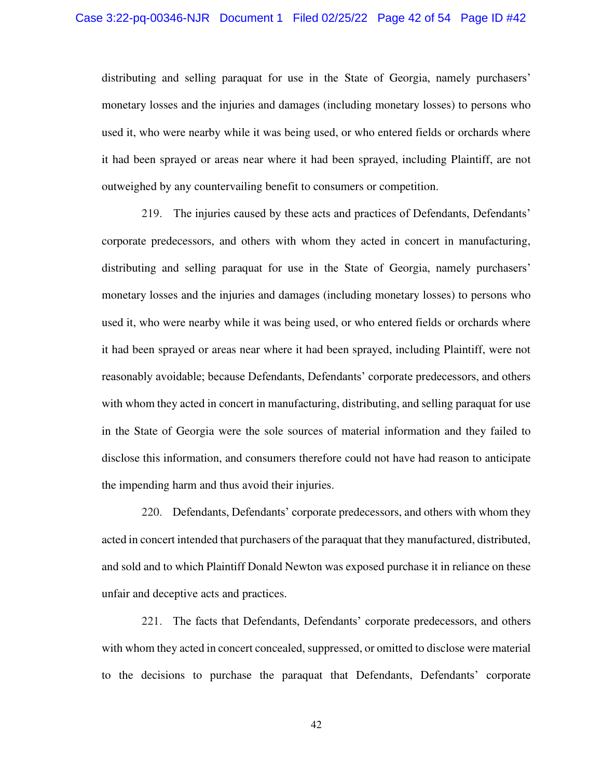distributing and selling paraquat for use in the State of Georgia, namely purchasers' monetary losses and the injuries and damages (including monetary losses) to persons who used it, who were nearby while it was being used, or who entered fields or orchards where it had been sprayed or areas near where it had been sprayed, including Plaintiff, are not outweighed by any countervailing benefit to consumers or competition.

219. The injuries caused by these acts and practices of Defendants, Defendants' corporate predecessors, and others with whom they acted in concert in manufacturing, distributing and selling paraquat for use in the State of Georgia, namely purchasers' monetary losses and the injuries and damages (including monetary losses) to persons who used it, who were nearby while it was being used, or who entered fields or orchards where it had been sprayed or areas near where it had been sprayed, including Plaintiff, were not reasonably avoidable; because Defendants, Defendants' corporate predecessors, and others with whom they acted in concert in manufacturing, distributing, and selling paraquat for use in the State of Georgia were the sole sources of material information and they failed to disclose this information, and consumers therefore could not have had reason to anticipate the impending harm and thus avoid their injuries.

220. Defendants, Defendants' corporate predecessors, and others with whom they acted in concert intended that purchasers of the paraquat that they manufactured, distributed, and sold and to which Plaintiff Donald Newton was exposed purchase it in reliance on these unfair and deceptive acts and practices.

221. The facts that Defendants, Defendants' corporate predecessors, and others with whom they acted in concert concealed, suppressed, or omitted to disclose were material to the decisions to purchase the paraquat that Defendants, Defendants' corporate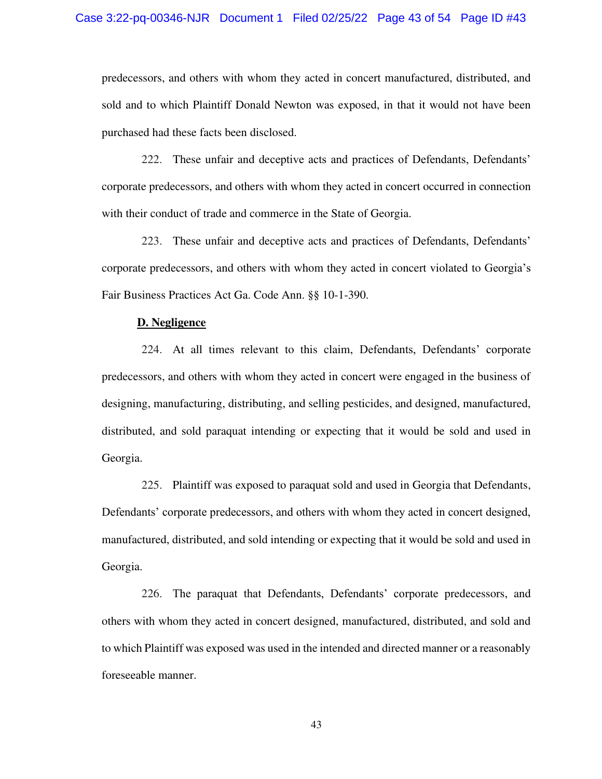predecessors, and others with whom they acted in concert manufactured, distributed, and sold and to which Plaintiff Donald Newton was exposed, in that it would not have been purchased had these facts been disclosed.

222. These unfair and deceptive acts and practices of Defendants, Defendants' corporate predecessors, and others with whom they acted in concert occurred in connection with their conduct of trade and commerce in the State of Georgia.

223. These unfair and deceptive acts and practices of Defendants, Defendants' corporate predecessors, and others with whom they acted in concert violated to Georgia's Fair Business Practices Act Ga. Code Ann. §§ 10-1-390.

#### **D. Negligence**

224. At all times relevant to this claim, Defendants, Defendants' corporate predecessors, and others with whom they acted in concert were engaged in the business of designing, manufacturing, distributing, and selling pesticides, and designed, manufactured, distributed, and sold paraquat intending or expecting that it would be sold and used in Georgia.

225. Plaintiff was exposed to paraquat sold and used in Georgia that Defendants, Defendants' corporate predecessors, and others with whom they acted in concert designed, manufactured, distributed, and sold intending or expecting that it would be sold and used in Georgia.

226. The paraquat that Defendants, Defendants' corporate predecessors, and others with whom they acted in concert designed, manufactured, distributed, and sold and to which Plaintiff was exposed was used in the intended and directed manner or a reasonably foreseeable manner.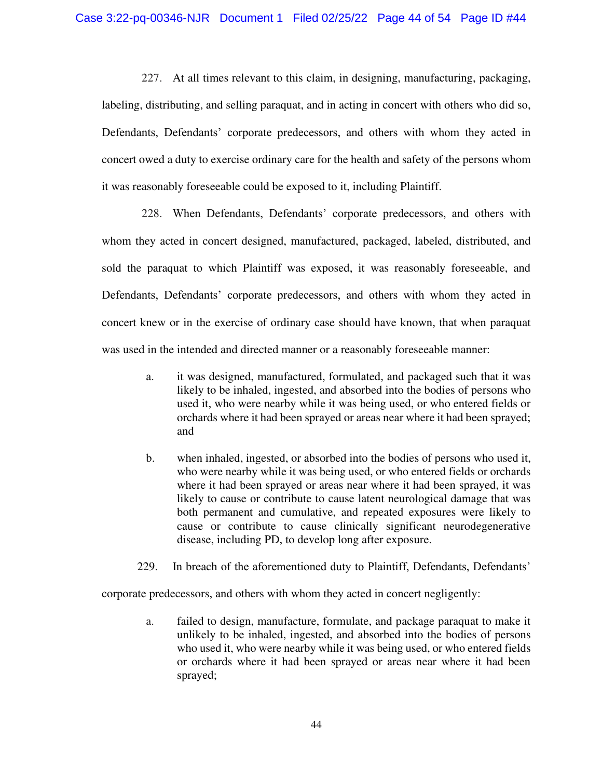227. At all times relevant to this claim, in designing, manufacturing, packaging, labeling, distributing, and selling paraquat, and in acting in concert with others who did so, Defendants, Defendants' corporate predecessors, and others with whom they acted in concert owed a duty to exercise ordinary care for the health and safety of the persons whom it was reasonably foreseeable could be exposed to it, including Plaintiff.

228. When Defendants, Defendants' corporate predecessors, and others with whom they acted in concert designed, manufactured, packaged, labeled, distributed, and sold the paraquat to which Plaintiff was exposed, it was reasonably foreseeable, and Defendants, Defendants' corporate predecessors, and others with whom they acted in concert knew or in the exercise of ordinary case should have known, that when paraquat was used in the intended and directed manner or a reasonably foreseeable manner:

- a. it was designed, manufactured, formulated, and packaged such that it was likely to be inhaled, ingested, and absorbed into the bodies of persons who used it, who were nearby while it was being used, or who entered fields or orchards where it had been sprayed or areas near where it had been sprayed; and
- b. when inhaled, ingested, or absorbed into the bodies of persons who used it, who were nearby while it was being used, or who entered fields or orchards where it had been sprayed or areas near where it had been sprayed, it was likely to cause or contribute to cause latent neurological damage that was both permanent and cumulative, and repeated exposures were likely to cause or contribute to cause clinically significant neurodegenerative disease, including PD, to develop long after exposure.
- 229. In breach of the aforementioned duty to Plaintiff, Defendants, Defendants'

corporate predecessors, and others with whom they acted in concert negligently:

a. failed to design, manufacture, formulate, and package paraquat to make it unlikely to be inhaled, ingested, and absorbed into the bodies of persons who used it, who were nearby while it was being used, or who entered fields or orchards where it had been sprayed or areas near where it had been sprayed;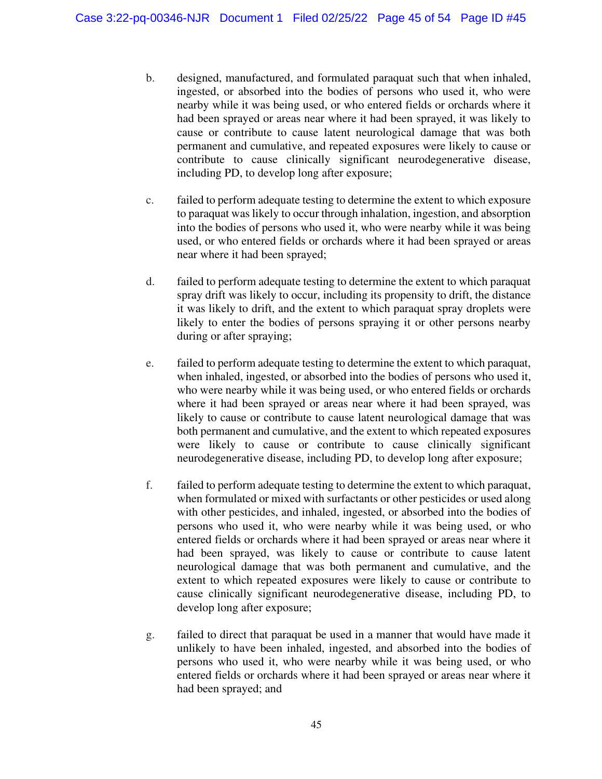- b. designed, manufactured, and formulated paraquat such that when inhaled, ingested, or absorbed into the bodies of persons who used it, who were nearby while it was being used, or who entered fields or orchards where it had been sprayed or areas near where it had been sprayed, it was likely to cause or contribute to cause latent neurological damage that was both permanent and cumulative, and repeated exposures were likely to cause or contribute to cause clinically significant neurodegenerative disease, including PD, to develop long after exposure;
- c. failed to perform adequate testing to determine the extent to which exposure to paraquat was likely to occur through inhalation, ingestion, and absorption into the bodies of persons who used it, who were nearby while it was being used, or who entered fields or orchards where it had been sprayed or areas near where it had been sprayed;
- d. failed to perform adequate testing to determine the extent to which paraquat spray drift was likely to occur, including its propensity to drift, the distance it was likely to drift, and the extent to which paraquat spray droplets were likely to enter the bodies of persons spraying it or other persons nearby during or after spraying;
- e. failed to perform adequate testing to determine the extent to which paraquat, when inhaled, ingested, or absorbed into the bodies of persons who used it, who were nearby while it was being used, or who entered fields or orchards where it had been sprayed or areas near where it had been sprayed, was likely to cause or contribute to cause latent neurological damage that was both permanent and cumulative, and the extent to which repeated exposures were likely to cause or contribute to cause clinically significant neurodegenerative disease, including PD, to develop long after exposure;
- f. failed to perform adequate testing to determine the extent to which paraquat, when formulated or mixed with surfactants or other pesticides or used along with other pesticides, and inhaled, ingested, or absorbed into the bodies of persons who used it, who were nearby while it was being used, or who entered fields or orchards where it had been sprayed or areas near where it had been sprayed, was likely to cause or contribute to cause latent neurological damage that was both permanent and cumulative, and the extent to which repeated exposures were likely to cause or contribute to cause clinically significant neurodegenerative disease, including PD, to develop long after exposure;
- g. failed to direct that paraquat be used in a manner that would have made it unlikely to have been inhaled, ingested, and absorbed into the bodies of persons who used it, who were nearby while it was being used, or who entered fields or orchards where it had been sprayed or areas near where it had been sprayed; and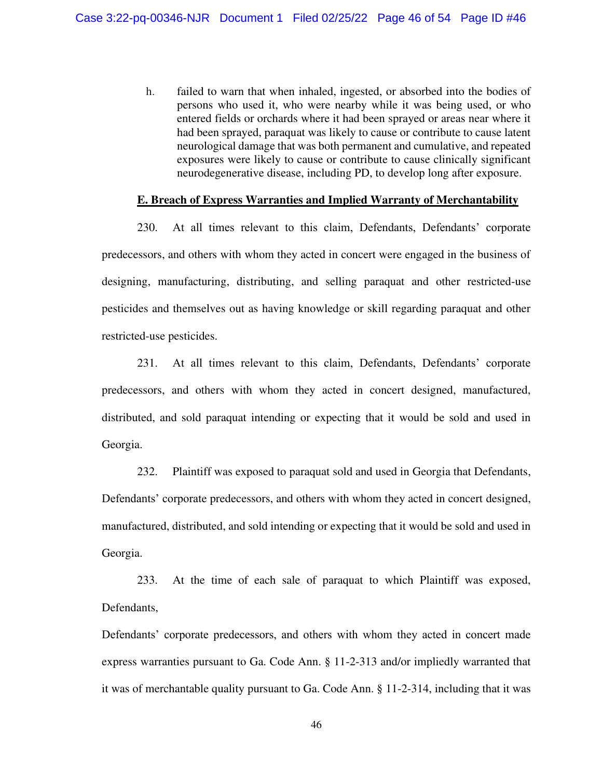h. failed to warn that when inhaled, ingested, or absorbed into the bodies of persons who used it, who were nearby while it was being used, or who entered fields or orchards where it had been sprayed or areas near where it had been sprayed, paraquat was likely to cause or contribute to cause latent neurological damage that was both permanent and cumulative, and repeated exposures were likely to cause or contribute to cause clinically significant neurodegenerative disease, including PD, to develop long after exposure.

#### **E. Breach of Express Warranties and Implied Warranty of Merchantability**

230. At all times relevant to this claim, Defendants, Defendants' corporate predecessors, and others with whom they acted in concert were engaged in the business of designing, manufacturing, distributing, and selling paraquat and other restricted-use pesticides and themselves out as having knowledge or skill regarding paraquat and other restricted-use pesticides.

231. At all times relevant to this claim, Defendants, Defendants' corporate predecessors, and others with whom they acted in concert designed, manufactured, distributed, and sold paraquat intending or expecting that it would be sold and used in Georgia.

232. Plaintiff was exposed to paraquat sold and used in Georgia that Defendants, Defendants' corporate predecessors, and others with whom they acted in concert designed, manufactured, distributed, and sold intending or expecting that it would be sold and used in Georgia.

233. At the time of each sale of paraquat to which Plaintiff was exposed, Defendants,

Defendants' corporate predecessors, and others with whom they acted in concert made express warranties pursuant to Ga. Code Ann. § 11-2-313 and/or impliedly warranted that it was of merchantable quality pursuant to Ga. Code Ann. § 11-2-314, including that it was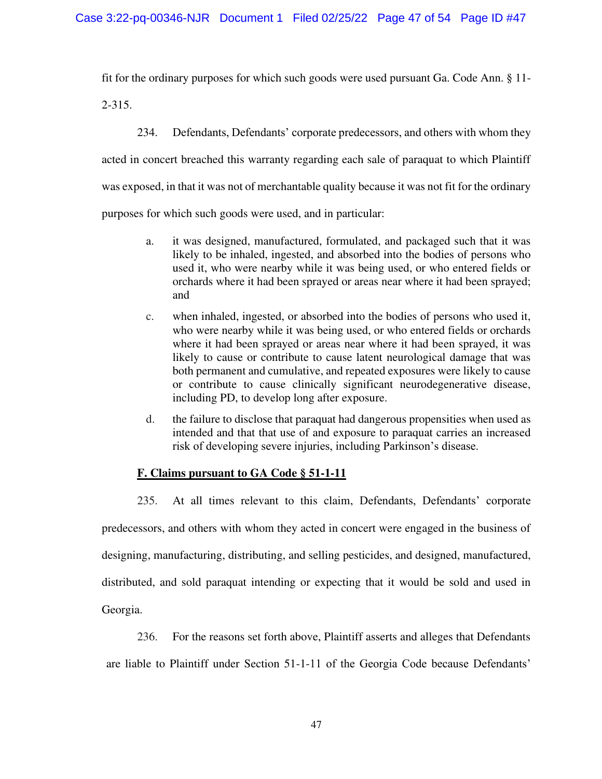fit for the ordinary purposes for which such goods were used pursuant Ga. Code Ann. § 11-

2-315.

234. Defendants, Defendants' corporate predecessors, and others with whom they acted in concert breached this warranty regarding each sale of paraquat to which Plaintiff was exposed, in that it was not of merchantable quality because it was not fit for the ordinary purposes for which such goods were used, and in particular:

- a. it was designed, manufactured, formulated, and packaged such that it was likely to be inhaled, ingested, and absorbed into the bodies of persons who used it, who were nearby while it was being used, or who entered fields or orchards where it had been sprayed or areas near where it had been sprayed; and
- c. when inhaled, ingested, or absorbed into the bodies of persons who used it, who were nearby while it was being used, or who entered fields or orchards where it had been sprayed or areas near where it had been sprayed, it was likely to cause or contribute to cause latent neurological damage that was both permanent and cumulative, and repeated exposures were likely to cause or contribute to cause clinically significant neurodegenerative disease, including PD, to develop long after exposure.
- d. the failure to disclose that paraquat had dangerous propensities when used as intended and that that use of and exposure to paraquat carries an increased risk of developing severe injuries, including Parkinson's disease.

# **F. Claims pursuant to GA Code § 51-1-11**

235. At all times relevant to this claim, Defendants, Defendants' corporate predecessors, and others with whom they acted in concert were engaged in the business of designing, manufacturing, distributing, and selling pesticides, and designed, manufactured, distributed, and sold paraquat intending or expecting that it would be sold and used in Georgia.

236. For the reasons set forth above, Plaintiff asserts and alleges that Defendants

are liable to Plaintiff under Section 51-1-11 of the Georgia Code because Defendants'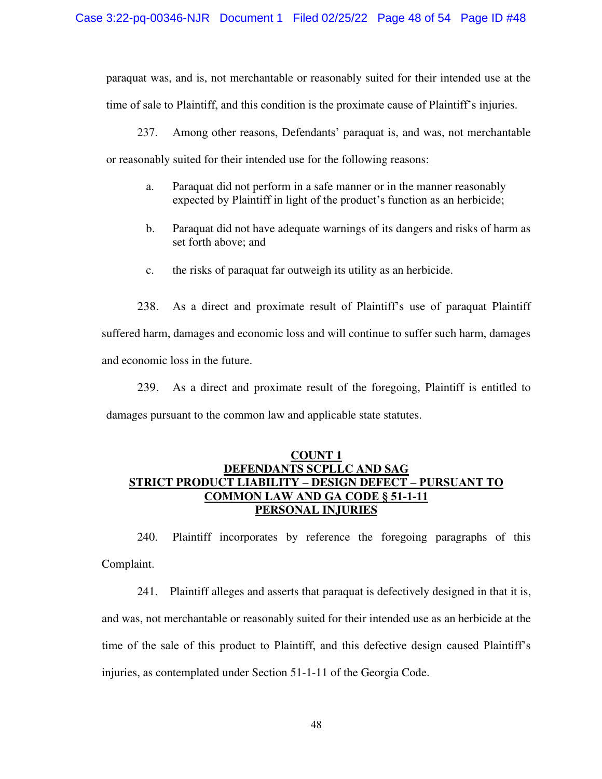paraquat was, and is, not merchantable or reasonably suited for their intended use at the time of sale to Plaintiff, and this condition is the proximate cause of Plaintiff's injuries.

237. Among other reasons, Defendants' paraquat is, and was, not merchantable or reasonably suited for their intended use for the following reasons:

- a. Paraquat did not perform in a safe manner or in the manner reasonably expected by Plaintiff in light of the product's function as an herbicide;
- b. Paraquat did not have adequate warnings of its dangers and risks of harm as set forth above; and
- c. the risks of paraquat far outweigh its utility as an herbicide.

238. As a direct and proximate result of Plaintiff's use of paraquat Plaintiff suffered harm, damages and economic loss and will continue to suffer such harm, damages and economic loss in the future.

239. As a direct and proximate result of the foregoing, Plaintiff is entitled to damages pursuant to the common law and applicable state statutes.

## **COUNT 1 DEFENDANTS SCPLLC AND SAG STRICT PRODUCT LIABILITY – DESIGN DEFECT – PURSUANT TO COMMON LAW AND GA CODE § 51-1-11 PERSONAL INJURIES**

240. Plaintiff incorporates by reference the foregoing paragraphs of this Complaint.

241. Plaintiff alleges and asserts that paraquat is defectively designed in that it is, and was, not merchantable or reasonably suited for their intended use as an herbicide at the time of the sale of this product to Plaintiff, and this defective design caused Plaintiff's injuries, as contemplated under Section 51-1-11 of the Georgia Code.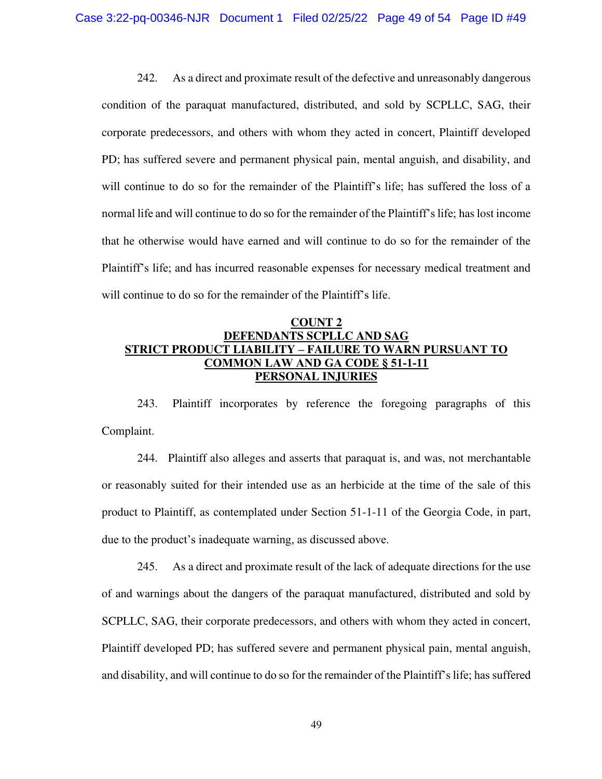242. As a direct and proximate result of the defective and unreasonably dangerous condition of the paraquat manufactured, distributed, and sold by SCPLLC, SAG, their corporate predecessors, and others with whom they acted in concert, Plaintiff developed PD; has suffered severe and permanent physical pain, mental anguish, and disability, and will continue to do so for the remainder of the Plaintiff's life; has suffered the loss of a normal life and will continue to do so for the remainder of the Plaintiff's life; has lost income that he otherwise would have earned and will continue to do so for the remainder of the Plaintiff's life; and has incurred reasonable expenses for necessary medical treatment and will continue to do so for the remainder of the Plaintiff's life.

# **COUNT 2 DEFENDANTS SCPLLC AND SAG STRICT PRODUCT LIABILITY** *–* **FAILURE TO WARN PURSUANT TO COMMON LAW AND GA CODE § 51-1-11 PERSONAL INJURIES**

243. Plaintiff incorporates by reference the foregoing paragraphs of this Complaint.

244. Plaintiff also alleges and asserts that paraquat is, and was, not merchantable or reasonably suited for their intended use as an herbicide at the time of the sale of this product to Plaintiff, as contemplated under Section 51-1-11 of the Georgia Code, in part, due to the product's inadequate warning, as discussed above.

245. As a direct and proximate result of the lack of adequate directions for the use of and warnings about the dangers of the paraquat manufactured, distributed and sold by SCPLLC, SAG, their corporate predecessors, and others with whom they acted in concert, Plaintiff developed PD; has suffered severe and permanent physical pain, mental anguish, and disability, and will continue to do so for the remainder of the Plaintiff's life; has suffered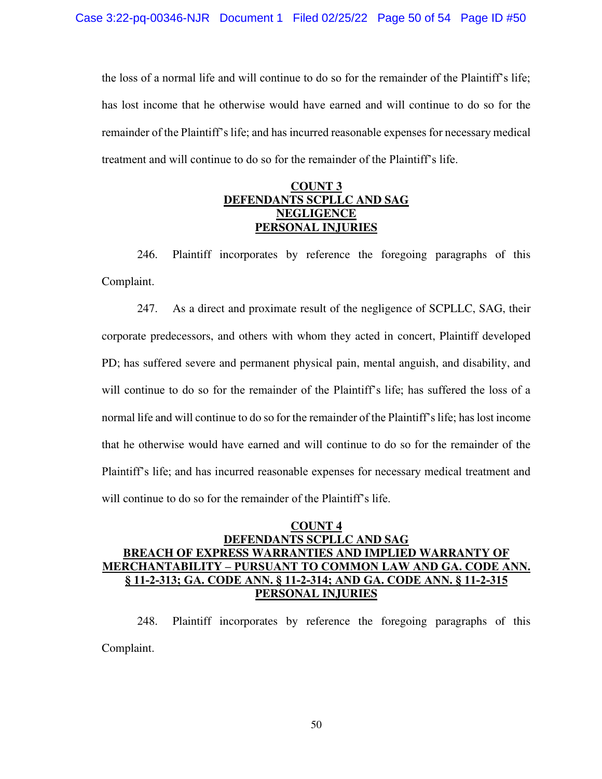the loss of a normal life and will continue to do so for the remainder of the Plaintiff's life; has lost income that he otherwise would have earned and will continue to do so for the remainder of the Plaintiff's life; and has incurred reasonable expenses for necessary medical treatment and will continue to do so for the remainder of the Plaintiff's life.

## **COUNT 3 DEFENDANTS SCPLLC AND SAG NEGLIGENCE PERSONAL INJURIES**

246. Plaintiff incorporates by reference the foregoing paragraphs of this Complaint.

247. As a direct and proximate result of the negligence of SCPLLC, SAG, their corporate predecessors, and others with whom they acted in concert, Plaintiff developed PD; has suffered severe and permanent physical pain, mental anguish, and disability, and will continue to do so for the remainder of the Plaintiff's life; has suffered the loss of a normal life and will continue to do so for the remainder of the Plaintiff's life; has lost income that he otherwise would have earned and will continue to do so for the remainder of the Plaintiff's life; and has incurred reasonable expenses for necessary medical treatment and will continue to do so for the remainder of the Plaintiff's life.

# **COUNT 4 DEFENDANTS SCPLLC AND SAG BREACH OF EXPRESS WARRANTIES AND IMPLIED WARRANTY OF MERCHANTABILITY – PURSUANT TO COMMON LAW AND GA. CODE ANN. § 11-2-313; GA. CODE ANN. § 11-2-314; AND GA. CODE ANN. § 11-2-315 PERSONAL INJURIES**

248. Plaintiff incorporates by reference the foregoing paragraphs of this Complaint.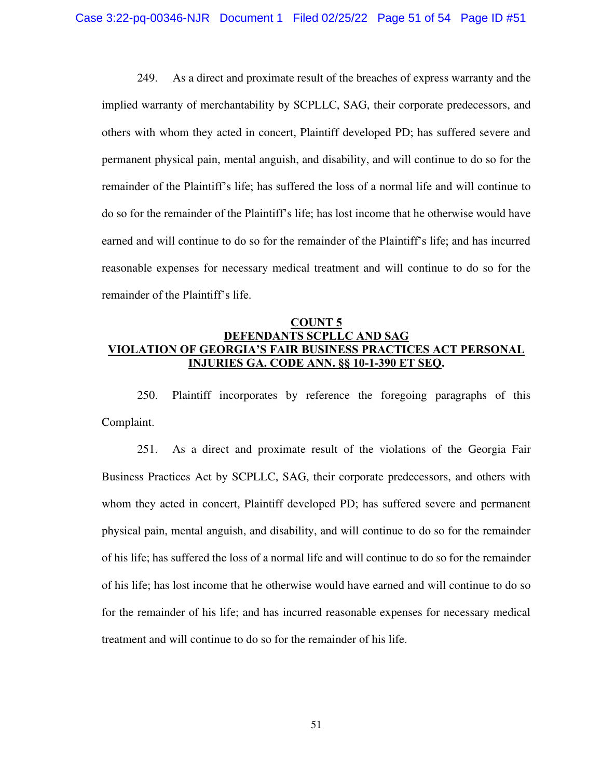249. As a direct and proximate result of the breaches of express warranty and the implied warranty of merchantability by SCPLLC, SAG, their corporate predecessors, and others with whom they acted in concert, Plaintiff developed PD; has suffered severe and permanent physical pain, mental anguish, and disability, and will continue to do so for the remainder of the Plaintiff's life; has suffered the loss of a normal life and will continue to do so for the remainder of the Plaintiff's life; has lost income that he otherwise would have earned and will continue to do so for the remainder of the Plaintiff's life; and has incurred reasonable expenses for necessary medical treatment and will continue to do so for the remainder of the Plaintiff's life.

## **COUNT 5 DEFENDANTS SCPLLC AND SAG VIOLATION OF GEORGIA'S FAIR BUSINESS PRACTICES ACT PERSONAL INJURIES GA. CODE ANN. §§ 10-1-390 ET SEQ.**

250. Plaintiff incorporates by reference the foregoing paragraphs of this Complaint.

251. As a direct and proximate result of the violations of the Georgia Fair Business Practices Act by SCPLLC, SAG, their corporate predecessors, and others with whom they acted in concert, Plaintiff developed PD; has suffered severe and permanent physical pain, mental anguish, and disability, and will continue to do so for the remainder of his life; has suffered the loss of a normal life and will continue to do so for the remainder of his life; has lost income that he otherwise would have earned and will continue to do so for the remainder of his life; and has incurred reasonable expenses for necessary medical treatment and will continue to do so for the remainder of his life.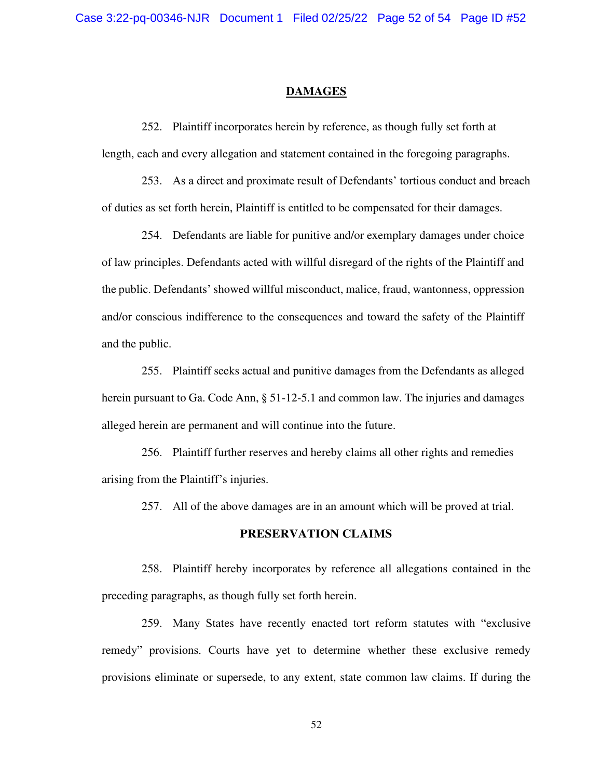#### **DAMAGES**

252. Plaintiff incorporates herein by reference, as though fully set forth at length, each and every allegation and statement contained in the foregoing paragraphs.

253. As a direct and proximate result of Defendants' tortious conduct and breach of duties as set forth herein, Plaintiff is entitled to be compensated for their damages.

254. Defendants are liable for punitive and/or exemplary damages under choice of law principles. Defendants acted with willful disregard of the rights of the Plaintiff and the public. Defendants' showed willful misconduct, malice, fraud, wantonness, oppression and/or conscious indifference to the consequences and toward the safety of the Plaintiff and the public.

255. Plaintiff seeks actual and punitive damages from the Defendants as alleged herein pursuant to Ga. Code Ann, § 51-12-5.1 and common law. The injuries and damages alleged herein are permanent and will continue into the future.

256. Plaintiff further reserves and hereby claims all other rights and remedies arising from the Plaintiff's injuries.

257. All of the above damages are in an amount which will be proved at trial.

### **PRESERVATION CLAIMS**

258. Plaintiff hereby incorporates by reference all allegations contained in the preceding paragraphs, as though fully set forth herein.

259. Many States have recently enacted tort reform statutes with "exclusive remedy" provisions. Courts have yet to determine whether these exclusive remedy provisions eliminate or supersede, to any extent, state common law claims. If during the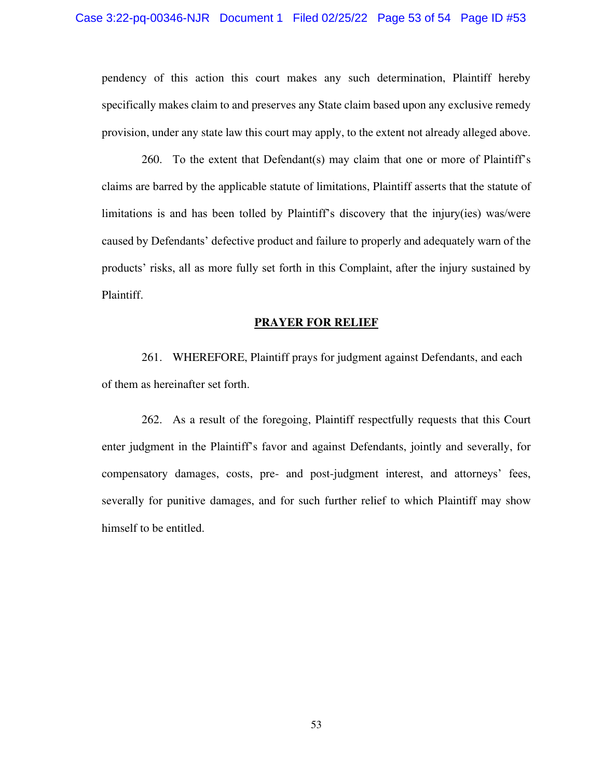pendency of this action this court makes any such determination, Plaintiff hereby specifically makes claim to and preserves any State claim based upon any exclusive remedy provision, under any state law this court may apply, to the extent not already alleged above.

260. To the extent that Defendant(s) may claim that one or more of Plaintiff's claims are barred by the applicable statute of limitations, Plaintiff asserts that the statute of limitations is and has been tolled by Plaintiff's discovery that the injury(ies) was/were caused by Defendants' defective product and failure to properly and adequately warn of the products' risks, all as more fully set forth in this Complaint, after the injury sustained by Plaintiff.

#### **PRAYER FOR RELIEF**

261. WHEREFORE, Plaintiff prays for judgment against Defendants, and each of them as hereinafter set forth.

262. As a result of the foregoing, Plaintiff respectfully requests that this Court enter judgment in the Plaintiff's favor and against Defendants, jointly and severally, for compensatory damages, costs, pre- and post-judgment interest, and attorneys' fees, severally for punitive damages, and for such further relief to which Plaintiff may show himself to be entitled.